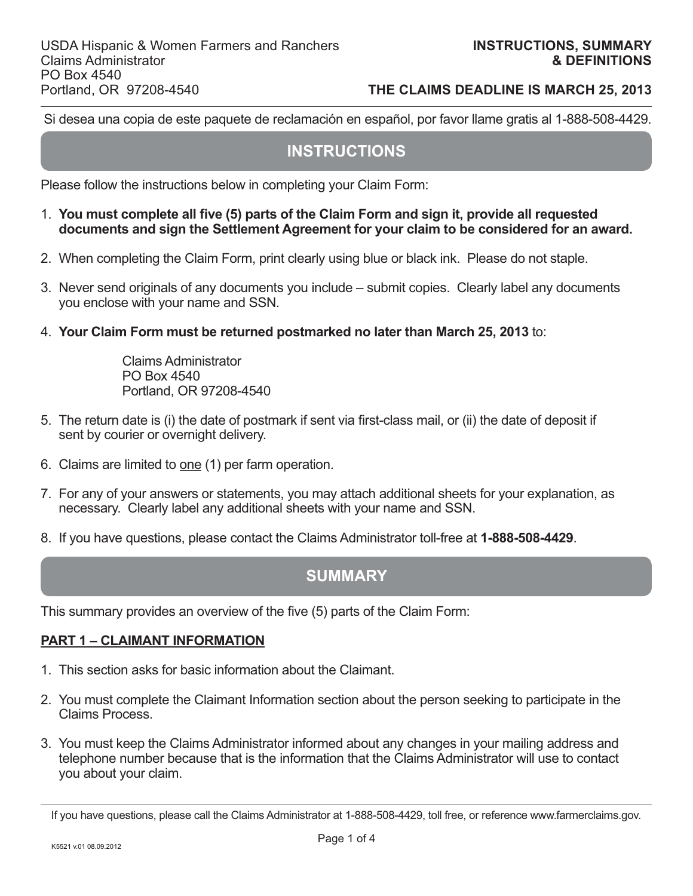Si desea una copia de este paquete de reclamación en español, por favor llame gratis al 1-888-508-4429.

# **INSTRUCTIONS**

Please follow the instructions below in completing your Claim Form:

- 1. You must complete all five (5) parts of the Claim Form and sign it, provide all requested  **documents and sign the Settlement Agreement for your claim to be considered for an award.**
- 2. When completing the Claim Form, print clearly using blue or black ink. Please do not staple.
- 3. Never send originals of any documents you include submit copies. Clearly label any documents you enclose with your name and SSN.
- 4. **Your Claim Form must be returned postmarked no later than March 25, 2013** to:

 Claims Administrator PO Box 4540 Portland, OR 97208-4540

- 5. The return date is (i) the date of postmark if sent via fi rst-class mail, or (ii) the date of deposit if sent by courier or overnight delivery.
- 6. Claims are limited to one (1) per farm operation.
- 7. For any of your answers or statements, you may attach additional sheets for your explanation, as necessary. Clearly label any additional sheets with your name and SSN.
- 8. If you have questions, please contact the Claims Administrator toll-free at **1-888-508-4429**.

# **SUMMARY**

This summary provides an overview of the five (5) parts of the Claim Form:

## **PART 1 – CLAIMANT INFORMATION**

- 1. This section asks for basic information about the Claimant.
- 2. You must complete the Claimant Information section about the person seeking to participate in the Claims Process.
- 3. You must keep the Claims Administrator informed about any changes in your mailing address and telephone number because that is the information that the Claims Administrator will use to contact you about your claim.

If you have questions, please call the Claims Administrator at 1-888-508-4429, toll free, or reference www.farmerclaims.gov.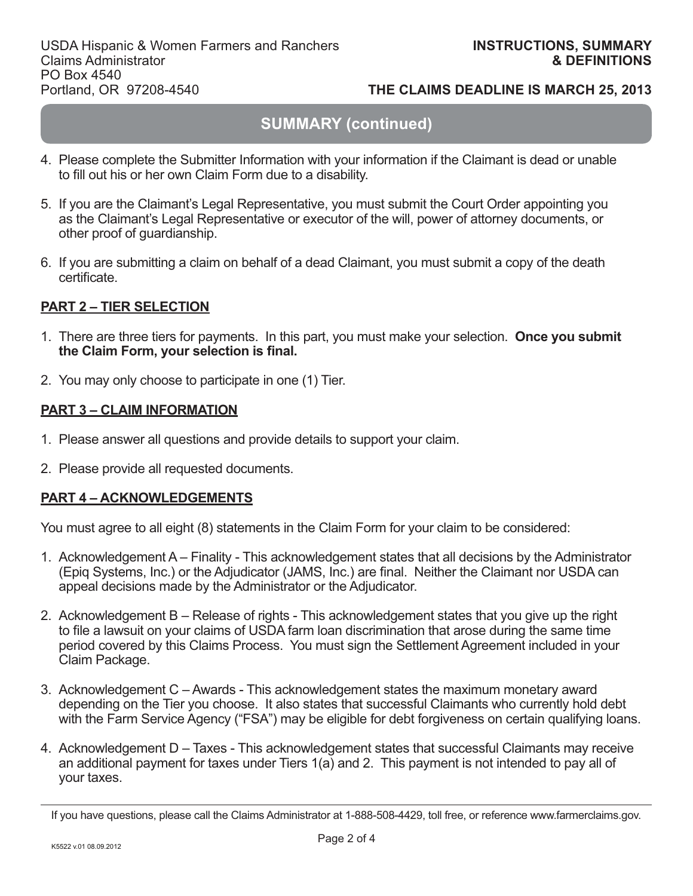# **SUMMARY (continued)**

- 4. Please complete the Submitter Information with your information if the Claimant is dead or unable to fill out his or her own Claim Form due to a disability.
- 5. If you are the Claimant's Legal Representative, you must submit the Court Order appointing you as the Claimant's Legal Representative or executor of the will, power of attorney documents, or other proof of guardianship.
- 6. If you are submitting a claim on behalf of a dead Claimant, you must submit a copy of the death certificate.

# **PART 2 – TIER SELECTION**

- 1. There are three tiers for payments. In this part, you must make your selection. **Once you submit**  the Claim Form, your selection is final.
- 2. You may only choose to participate in one (1) Tier.

## **PART 3 – CLAIM INFORMATION**

- 1. Please answer all questions and provide details to support your claim.
- 2. Please provide all requested documents.

## **PART 4 – ACKNOWLEDGEMENTS**

You must agree to all eight (8) statements in the Claim Form for your claim to be considered:

- 1. Acknowledgement A Finality This acknowledgement states that all decisions by the Administrator (Epig Systems, Inc.) or the Adjudicator (JAMS, Inc.) are final. Neither the Claimant nor USDA can appeal decisions made by the Administrator or the Adjudicator.
- 2. Acknowledgement B Release of rights This acknowledgement states that you give up the right to file a lawsuit on your claims of USDA farm loan discrimination that arose during the same time period covered by this Claims Process. You must sign the Settlement Agreement included in your Claim Package.
- 3. Acknowledgement C Awards This acknowledgement states the maximum monetary award depending on the Tier you choose. It also states that successful Claimants who currently hold debt with the Farm Service Agency ("FSA") may be eligible for debt forgiveness on certain qualifying loans.
- 4. Acknowledgement D Taxes This acknowledgement states that successful Claimants may receive an additional payment for taxes under Tiers 1(a) and 2. This payment is not intended to pay all of your taxes.

If you have questions, please call the Claims Administrator at 1-888-508-4429, toll free, or reference www.farmerclaims.gov.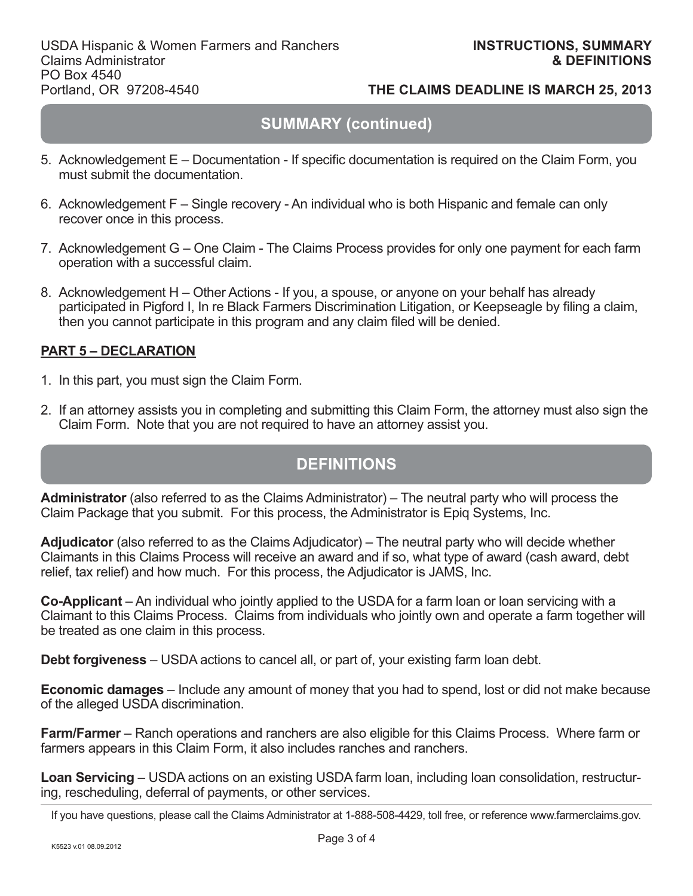# **SUMMARY (continued)**

- 5. Acknowledgement E Documentation If specific documentation is required on the Claim Form, you must submit the documentation.
- 6. Acknowledgement F Single recovery An individual who is both Hispanic and female can only recover once in this process.
- 7. Acknowledgement G One Claim The Claims Process provides for only one payment for each farm operation with a successful claim.
- 8. Acknowledgement H Other Actions If you, a spouse, or anyone on your behalf has already participated in Pigford I, In re Black Farmers Discrimination Litigation, or Keepseagle by filing a claim, then you cannot participate in this program and any claim filed will be denied.

# **PART 5 – DECLARATION**

- 1. In this part, you must sign the Claim Form.
- 2. If an attorney assists you in completing and submitting this Claim Form, the attorney must also sign the Claim Form. Note that you are not required to have an attorney assist you.

# **DEFINITIONS**

**Administrator** (also referred to as the Claims Administrator) – The neutral party who will process the Claim Package that you submit. For this process, the Administrator is Epiq Systems, Inc.

**Adjudicator** (also referred to as the Claims Adjudicator) – The neutral party who will decide whether Claimants in this Claims Process will receive an award and if so, what type of award (cash award, debt relief, tax relief) and how much. For this process, the Adjudicator is JAMS, Inc.

**Co-Applicant** – An individual who jointly applied to the USDA for a farm loan or loan servicing with a Claimant to this Claims Process. Claims from individuals who jointly own and operate a farm together will be treated as one claim in this process.

**Debt forgiveness** – USDA actions to cancel all, or part of, your existing farm loan debt.

**Economic damages** – Include any amount of money that you had to spend, lost or did not make because of the alleged USDA discrimination.

**Farm/Farmer** – Ranch operations and ranchers are also eligible for this Claims Process. Where farm or farmers appears in this Claim Form, it also includes ranches and ranchers.

**Loan Servicing** – USDA actions on an existing USDA farm loan, including loan consolidation, restructuring, rescheduling, deferral of payments, or other services.

If you have questions, please call the Claims Administrator at 1-888-508-4429, toll free, or reference www.farmerclaims.gov.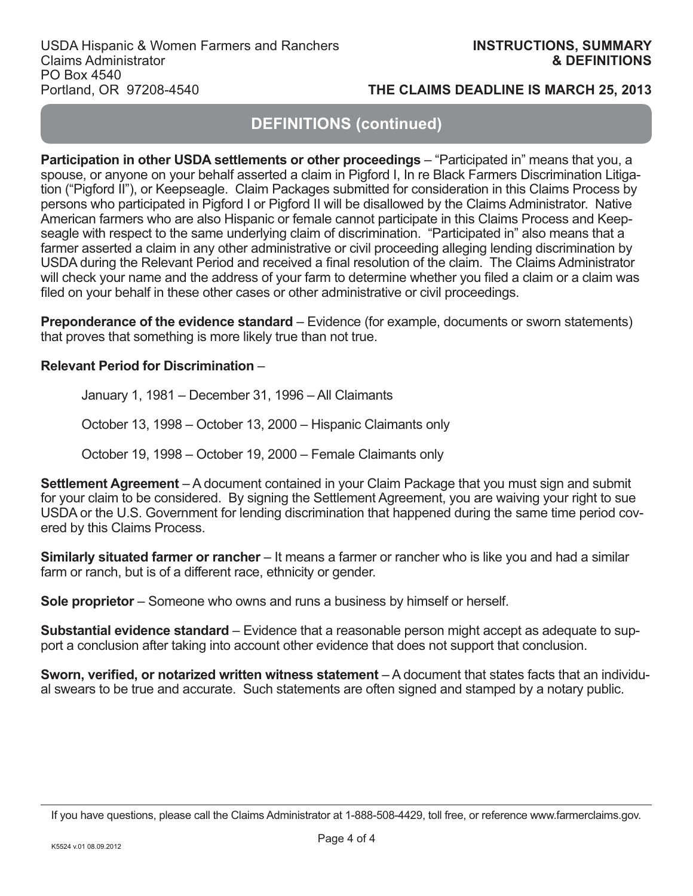# **DEFINITIONS (continued)**

**Participation in other USDA settlements or other proceedings** – "Participated in" means that you, a spouse, or anyone on your behalf asserted a claim in Pigford I, In re Black Farmers Discrimination Litigation ("Pigford II"), or Keepseagle. Claim Packages submitted for consideration in this Claims Process by persons who participated in Pigford I or Pigford II will be disallowed by the Claims Administrator. Native American farmers who are also Hispanic or female cannot participate in this Claims Process and Keepseagle with respect to the same underlying claim of discrimination. "Participated in" also means that a farmer asserted a claim in any other administrative or civil proceeding alleging lending discrimination by USDA during the Relevant Period and received a final resolution of the claim. The Claims Administrator will check your name and the address of your farm to determine whether you filed a claim or a claim was filed on your behalf in these other cases or other administrative or civil proceedings.

**Preponderance of the evidence standard** – Evidence (for example, documents or sworn statements) that proves that something is more likely true than not true.

## **Relevant Period for Discrimination** –

January 1, 1981 – December 31, 1996 – All Claimants

October 13, 1998 – October 13, 2000 – Hispanic Claimants only

October 19, 1998 – October 19, 2000 – Female Claimants only

**Settlement Agreement** – A document contained in your Claim Package that you must sign and submit for your claim to be considered. By signing the Settlement Agreement, you are waiving your right to sue USDA or the U.S. Government for lending discrimination that happened during the same time period covered by this Claims Process.

**Similarly situated farmer or rancher** – It means a farmer or rancher who is like you and had a similar farm or ranch, but is of a different race, ethnicity or gender.

**Sole proprietor** – Someone who owns and runs a business by himself or herself.

**Substantial evidence standard** – Evidence that a reasonable person might accept as adequate to support a conclusion after taking into account other evidence that does not support that conclusion.

**Sworn, verified, or notarized written witness statement** – A document that states facts that an individual swears to be true and accurate. Such statements are often signed and stamped by a notary public.

If you have questions, please call the Claims Administrator at 1-888-508-4429, toll free, or reference www.farmerclaims.gov.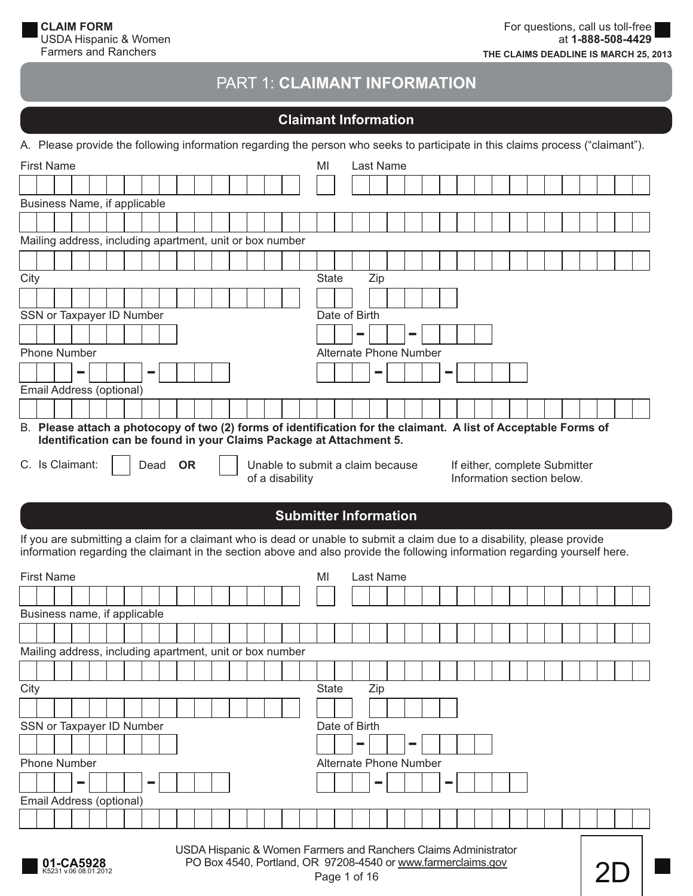# PART 1: **CLAIMANT INFORMATION**

# **Claimant Information**

A. Please provide the following information regarding the person who seeks to participate in this claims process ("claimant").

| <b>First Name</b>                                                         | MI<br>Last Name                                                                                              |
|---------------------------------------------------------------------------|--------------------------------------------------------------------------------------------------------------|
|                                                                           |                                                                                                              |
| Business Name, if applicable                                              |                                                                                                              |
|                                                                           |                                                                                                              |
| Mailing address, including apartment, unit or box number                  |                                                                                                              |
|                                                                           |                                                                                                              |
| City                                                                      | <b>State</b><br>Zip                                                                                          |
|                                                                           |                                                                                                              |
| SSN or Taxpayer ID Number                                                 | Date of Birth                                                                                                |
|                                                                           | m.<br><b>Contract</b>                                                                                        |
| <b>Phone Number</b>                                                       | Alternate Phone Number                                                                                       |
| $\sim$<br>$\sim$                                                          | <b>Contract</b><br>$\sim$                                                                                    |
| Email Address (optional)                                                  |                                                                                                              |
|                                                                           |                                                                                                              |
| В.<br>Identification can be found in your Claims Package at Attachment 5. | Please attach a photocopy of two (2) forms of identification for the claimant. A list of Acceptable Forms of |
| C. Is Claimant:<br><b>OR</b><br>Dead<br>of a disability                   | Unable to submit a claim because<br>If either, complete Submitter<br>Information section below.              |

# **Submitter Information**

If you are submitting a claim for a claimant who is dead or unable to submit a claim due to a disability, please provide information regarding the claimant in the section above and also provide the following information regarding yourself here.

| <b>First Name</b>                                                                                                                                                                    |  | MI<br>Last Name                    |  |  |  |  |  |  |  |  |  |  |
|--------------------------------------------------------------------------------------------------------------------------------------------------------------------------------------|--|------------------------------------|--|--|--|--|--|--|--|--|--|--|
|                                                                                                                                                                                      |  |                                    |  |  |  |  |  |  |  |  |  |  |
| Business name, if applicable                                                                                                                                                         |  |                                    |  |  |  |  |  |  |  |  |  |  |
|                                                                                                                                                                                      |  |                                    |  |  |  |  |  |  |  |  |  |  |
| Mailing address, including apartment, unit or box number                                                                                                                             |  |                                    |  |  |  |  |  |  |  |  |  |  |
|                                                                                                                                                                                      |  |                                    |  |  |  |  |  |  |  |  |  |  |
| City                                                                                                                                                                                 |  | <b>State</b><br>Zip                |  |  |  |  |  |  |  |  |  |  |
|                                                                                                                                                                                      |  |                                    |  |  |  |  |  |  |  |  |  |  |
| SSN or Taxpayer ID Number                                                                                                                                                            |  | Date of Birth                      |  |  |  |  |  |  |  |  |  |  |
|                                                                                                                                                                                      |  | <b>Contract</b>                    |  |  |  |  |  |  |  |  |  |  |
| <b>Phone Number</b>                                                                                                                                                                  |  | Alternate Phone Number             |  |  |  |  |  |  |  |  |  |  |
| ╾<br>$\equiv$                                                                                                                                                                        |  | <b>Contract</b><br><b>Contract</b> |  |  |  |  |  |  |  |  |  |  |
| Email Address (optional)                                                                                                                                                             |  |                                    |  |  |  |  |  |  |  |  |  |  |
|                                                                                                                                                                                      |  |                                    |  |  |  |  |  |  |  |  |  |  |
| USDA Hispanic & Women Farmers and Ranchers Claims Administrator<br>PO Box 4540, Portland, OR 97208-4540 or www.farmerclaims.gov<br>01-CA5928<br>5231 v.06 08.01.2012<br>Page 1 of 16 |  |                                    |  |  |  |  |  |  |  |  |  |  |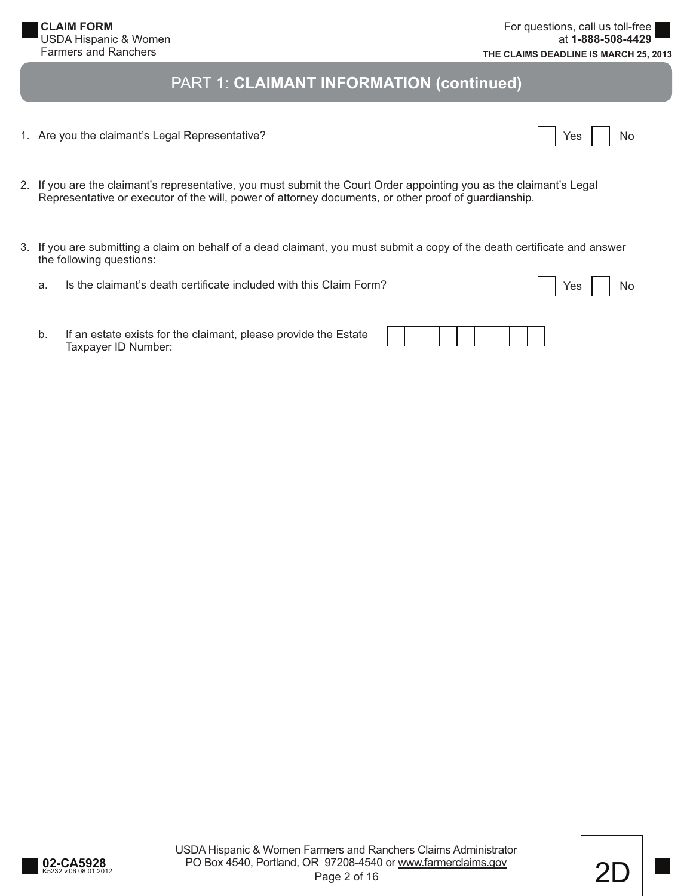**CLAIM FORM** USDA Hispanic & Women Farmers and Ranchers

# PART 1: **CLAIMANT INFORMATION (continued)**

1. Are you the claimant's Legal Representative?

|  | Yes |  | N٥ |
|--|-----|--|----|
|--|-----|--|----|

- 2. If you are the claimant's representative, you must submit the Court Order appointing you as the claimant's Legal Representative or executor of the will, power of attorney documents, or other proof of guardianship.
- 3. If you are submitting a claim on behalf of a dead claimant, you must submit a copy of the death certificate and answer the following questions:
	- a. Is the claimant's death certificate included with this Claim Form?

| Yes | N٥ |
|-----|----|
|     |    |

 b. If an estate exists for the claimant, please provide the Estate Taxpayer ID Number: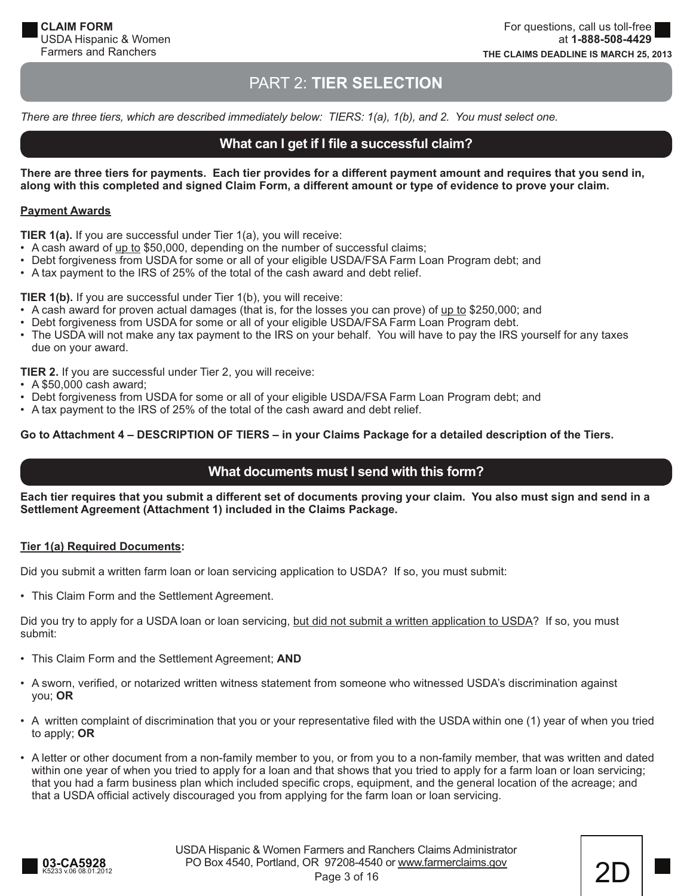# PART 2: **TIER SELECTION**

*There are three tiers, which are described immediately below: TIERS: 1(a), 1(b), and 2. You must select one.*

## **What can I get if I file a successful claim?**

**There are three tiers for payments. Each tier provides for a different payment amount and requires that you send in, along with this completed and signed Claim Form, a different amount or type of evidence to prove your claim.**

#### **Payment Awards**

**TIER 1(a).** If you are successful under Tier 1(a), you will receive:

- A cash award of up to \$50,000, depending on the number of successful claims;
- Debt forgiveness from USDA for some or all of your eligible USDA/FSA Farm Loan Program debt; and
- A tax payment to the IRS of 25% of the total of the cash award and debt relief.

**TIER 1(b).** If you are successful under Tier 1(b), you will receive:

- A cash award for proven actual damages (that is, for the losses you can prove) of up to \$250,000; and
- Debt forgiveness from USDA for some or all of your eligible USDA/FSA Farm Loan Program debt.
- The USDA will not make any tax payment to the IRS on your behalf. You will have to pay the IRS yourself for any taxes due on your award.

**TIER 2.** If you are successful under Tier 2, you will receive:

- A \$50,000 cash award;
- Debt forgiveness from USDA for some or all of your eligible USDA/FSA Farm Loan Program debt; and
- A tax payment to the IRS of 25% of the total of the cash award and debt relief.

#### **Go to Attachment 4 – DESCRIPTION OF TIERS – in your Claims Package for a detailed description of the Tiers.**

## **What documents must I send with this form?**

**Each tier requires that you submit a different set of documents proving your claim. You also must sign and send in a Settlement Agreement (Attachment 1) included in the Claims Package.**

#### **Tier 1(a) Required Documents:**

Did you submit a written farm loan or loan servicing application to USDA? If so, you must submit:

• This Claim Form and the Settlement Agreement.

Did you try to apply for a USDA loan or loan servicing, but did not submit a written application to USDA? If so, you must submit:

- This Claim Form and the Settlement Agreement; **AND**
- A sworn, verified, or notarized written witness statement from someone who witnessed USDA's discrimination against you; **OR**
- A written complaint of discrimination that you or your representative filed with the USDA within one (1) year of when you tried to apply; **OR**
- A letter or other document from a non-family member to you, or from you to a non-family member, that was written and dated within one year of when you tried to apply for a loan and that shows that you tried to apply for a farm loan or loan servicing; that you had a farm business plan which included specific crops, equipment, and the general location of the acreage; and that a USDA official actively discouraged you from applying for the farm loan or loan servicing.

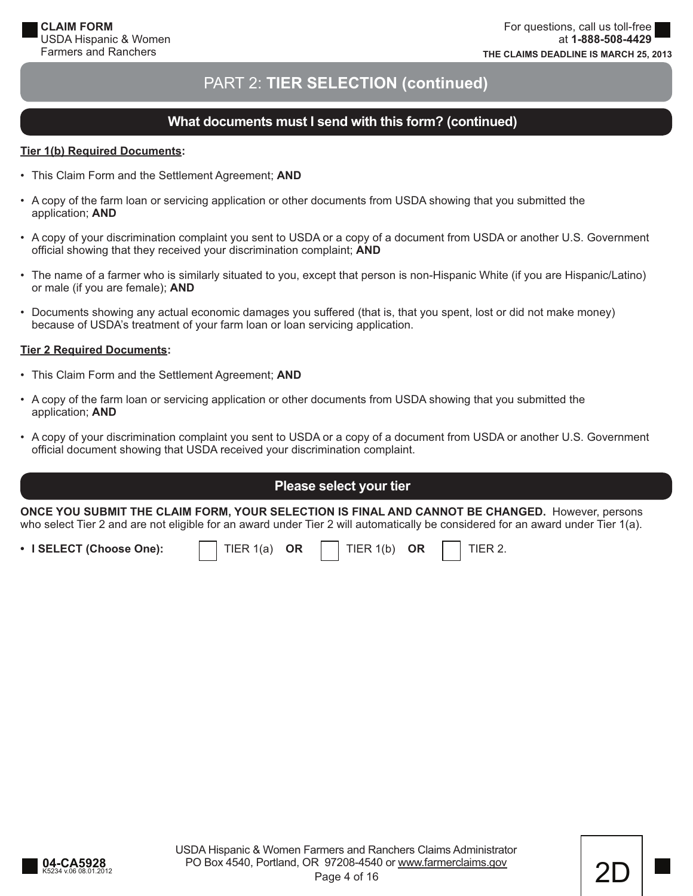# PART 2: **TIER SELECTION (continued)**

# **What documents must I send with this form? (continued)**

#### **Tier 1(b) Required Documents:**

- This Claim Form and the Settlement Agreement; **AND**
- A copy of the farm loan or servicing application or other documents from USDA showing that you submitted the application; **AND**
- A copy of your discrimination complaint you sent to USDA or a copy of a document from USDA or another U.S. Government official showing that they received your discrimination complaint; **AND**
- The name of a farmer who is similarly situated to you, except that person is non-Hispanic White (if you are Hispanic/Latino) or male (if you are female); **AND**
- Documents showing any actual economic damages you suffered (that is, that you spent, lost or did not make money) because of USDA's treatment of your farm loan or loan servicing application.

#### **Tier 2 Required Documents:**

- This Claim Form and the Settlement Agreement; **AND**
- A copy of the farm loan or servicing application or other documents from USDA showing that you submitted the application; **AND**
- A copy of your discrimination complaint you sent to USDA or a copy of a document from USDA or another U.S. Government official document showing that USDA received your discrimination complaint.

# **Please select your tier**

**ONCE YOU SUBMIT THE CLAIM FORM, YOUR SELECTION IS FINAL AND CANNOT BE CHANGED.** However, persons who select Tier 2 and are not eligible for an award under Tier 2 will automatically be considered for an award under Tier 1(a).

• I SELECT (Choose One):  $\vert$  TIER 1(a) OR  $\vert$  TIER 1(b) OR  $\vert$  TIER 2.



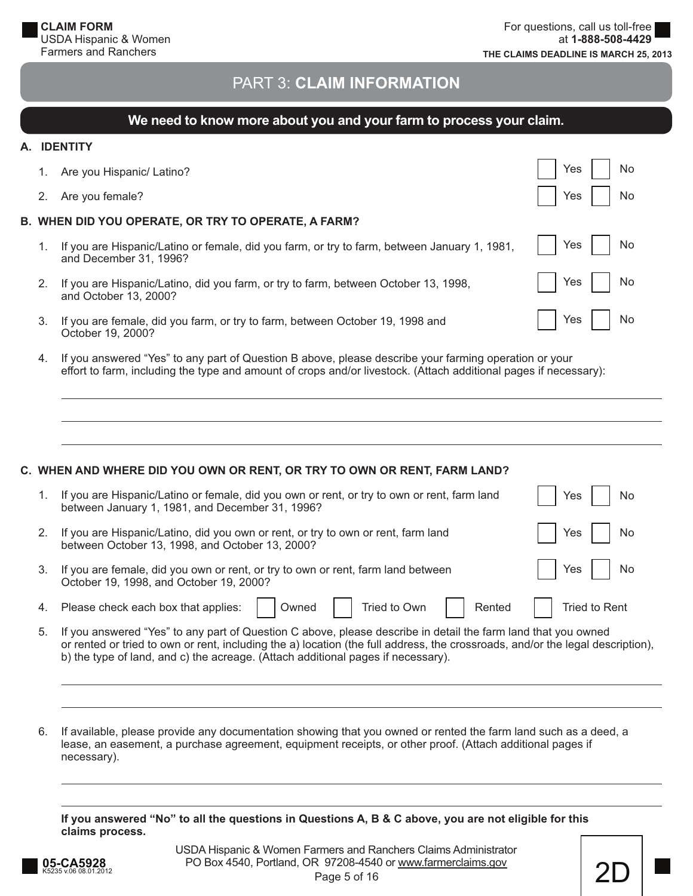# PART 3: **CLAIM INFORMATION**

# **EXECUTE: We need to know more about you and your farm to process your claim.**

#### **A. IDENTITY**

|    | Are you Hispanic/ Latino?                                                                                              | No<br>Yes |
|----|------------------------------------------------------------------------------------------------------------------------|-----------|
|    | Are you female?                                                                                                        | No<br>Yes |
|    | B. WHEN DID YOU OPERATE, OR TRY TO OPERATE, A FARM?                                                                    |           |
| 1. | If you are Hispanic/Latino or female, did you farm, or try to farm, between January 1, 1981,<br>and December 31, 1996? | Yes<br>No |
| 2. | If you are Hispanic/Latino, did you farm, or try to farm, between October 13, 1998,<br>and October 13, 2000?           | Yes<br>No |
| 3. | If you are female, did you farm, or try to farm, between October 19, 1998 and<br>October 19, 2000?                     | Yes<br>No |

 4. If you answered "Yes" to any part of Question B above, please describe your farming operation or your effort to farm, including the type and amount of crops and/or livestock. (Attach additional pages if necessary):

|    | C. WHEN AND WHERE DID YOU OWN OR RENT, OR TRY TO OWN OR RENT, FARM LAND?                                                                                                                                                                                                                                                            |               |
|----|-------------------------------------------------------------------------------------------------------------------------------------------------------------------------------------------------------------------------------------------------------------------------------------------------------------------------------------|---------------|
| 1. | If you are Hispanic/Latino or female, did you own or rent, or try to own or rent, farm land<br>between January 1, 1981, and December 31, 1996?                                                                                                                                                                                      | Yes<br>No     |
| 2. | If you are Hispanic/Latino, did you own or rent, or try to own or rent, farm land<br>between October 13, 1998, and October 13, 2000?                                                                                                                                                                                                | Yes<br>No     |
| 3. | If you are female, did you own or rent, or try to own or rent, farm land between<br>October 19, 1998, and October 19, 2000?                                                                                                                                                                                                         | Yes<br>No     |
| 4. | Please check each box that applies:<br>Tried to Own<br>Rented<br>Owned                                                                                                                                                                                                                                                              | Tried to Rent |
| 5. | If you answered "Yes" to any part of Question C above, please describe in detail the farm land that you owned<br>or rented or tried to own or rent, including the a) location (the full address, the crossroads, and/or the legal description),<br>b) the type of land, and c) the acreage. (Attach additional pages if necessary). |               |

 6. If available, please provide any documentation showing that you owned or rented the farm land such as a deed, a lease, an easement, a purchase agreement, equipment receipts, or other proof. (Attach additional pages if necessary).

**If you answered "No" to all the questions in Questions A, B & C above, you are not eligible for this claims process.**

Page 5 of 16 USDA Hispanic & Women Farmers and Ranchers Claims Administrator **05-CA5928** PO Box 4540, Portland, OR 97208-4540 or <u>www.farmerclaims.gov</u> 2D<br>Page 5 of 16

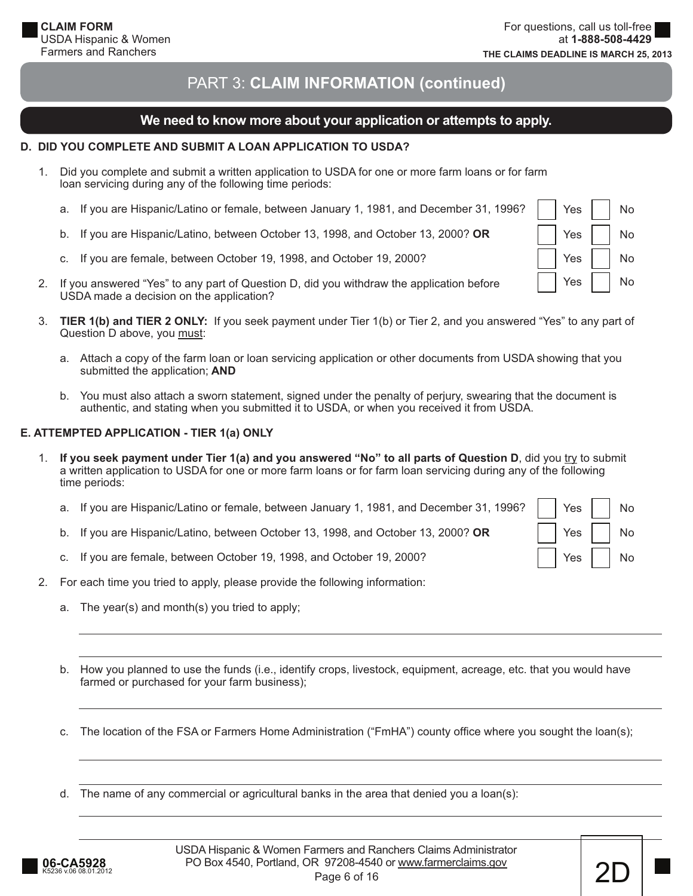Yes I I No

Yes | | No

Yes I I No

Yes I I No

# PART 3: **CLAIM INFORMATION (continued)**

# **We need to know more about your application or attempts to apply.**

#### **D. DID YOU COMPLETE AND SUBMIT A LOAN APPLICATION TO USDA?**

- 1. Did you complete and submit a written application to USDA for one or more farm loans or for farm loan servicing during any of the following time periods:
	- a. If you are Hispanic/Latino or female, between January 1, 1981, and December 31, 1996?
	- b. If you are Hispanic/Latino, between October 13, 1998, and October 13, 2000? **OR**
	- c. If you are female, between October 19, 1998, and October 19, 2000?
- 2. If you answered "Yes" to any part of Question D, did you withdraw the application before USDA made a decision on the application?
- 3. **TIER 1(b) and TIER 2 ONLY:** If you seek payment under Tier 1(b) or Tier 2, and you answered "Yes" to any part of Question D above, you must:
	- a. Attach a copy of the farm loan or loan servicing application or other documents from USDA showing that you submitted the application; **AND**
	- b. You must also attach a sworn statement, signed under the penalty of perjury, swearing that the document is authentic, and stating when you submitted it to USDA, or when you received it from USDA.

#### **E. ATTEMPTED APPLICATION - TIER 1(a) ONLY**

- 1. If you seek payment under Tier 1(a) and you answered "No" to all parts of Question D, did you try to submit a written application to USDA for one or more farm loans or for farm loan servicing during any of the following time periods:
	- a. If you are Hispanic/Latino or female, between January 1, 1981, and December 31, 1996?
	- b. If you are Hispanic/Latino, between October 13, 1998, and October 13, 2000? **OR**
	- c. If you are female, between October 19, 1998, and October 19, 2000?

|  | Yes | No |
|--|-----|----|
|  | Yes | No |
|  | Yes | No |

- 2. For each time you tried to apply, please provide the following information:
	- a. The year(s) and month(s) you tried to apply;
	- b. How you planned to use the funds (i.e., identify crops, livestock, equipment, acreage, etc. that you would have farmed or purchased for your farm business);
	- c. The location of the FSA or Farmers Home Administration ("FmHA") county office where you sought the loan(s);
	- d. The name of any commercial or agricultural banks in the area that denied you a loan(s):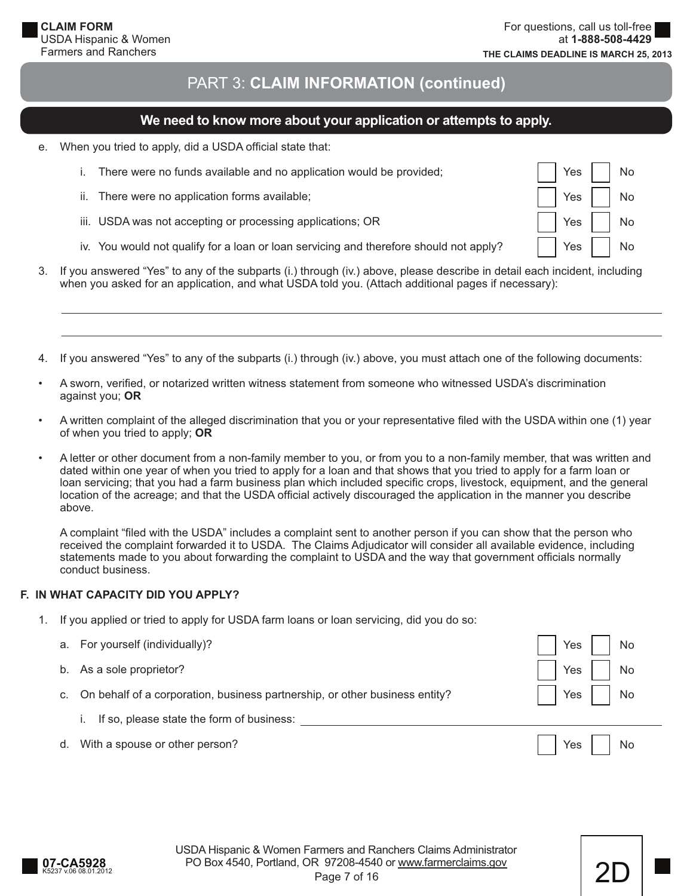Yes I I No

Yes | | No

Yes I I No

Yes | | No

# PART 3: **CLAIM INFORMATION (continued)**

## **We need to know more about your application or attempts to apply.**

e. When you tried to apply, did a USDA official state that:

|  | i. There were no funds available and no application would be provided; |
|--|------------------------------------------------------------------------|
|  |                                                                        |

- ii. There were no application forms available;
- iii. USDA was not accepting or processing applications; OR
- iv. You would not qualify for a loan or loan servicing and therefore should not apply?
- 3. If you answered "Yes" to any of the subparts (i.) through (iv.) above, please describe in detail each incident, including when you asked for an application, and what USDA told you. (Attach additional pages if necessary):
- 4. If you answered "Yes" to any of the subparts (i.) through (iv.) above, you must attach one of the following documents:
- A sworn, verified, or notarized written witness statement from someone who witnessed USDA's discrimination against you; **OR**
- A written complaint of the alleged discrimination that you or your representative filed with the USDA within one (1) year of when you tried to apply; **OR**
- A letter or other document from a non-family member to you, or from you to a non-family member, that was written and dated within one year of when you tried to apply for a loan and that shows that you tried to apply for a farm loan or loan servicing; that you had a farm business plan which included specific crops, livestock, equipment, and the general location of the acreage; and that the USDA official actively discouraged the application in the manner you describe above.

A complaint "filed with the USDA" includes a complaint sent to another person if you can show that the person who received the complaint forwarded it to USDA. The Claims Adjudicator will consider all available evidence, including statements made to you about forwarding the complaint to USDA and the way that government officials normally conduct business.

#### **F. IN WHAT CAPACITY DID YOU APPLY?**

1. If you applied or tried to apply for USDA farm loans or loan servicing, did you do so:

|    | a. For yourself (individually)?                                             | Yes                 | No   |
|----|-----------------------------------------------------------------------------|---------------------|------|
| b. | As a sole proprietor?                                                       | Yes                 | No   |
| C. | On behalf of a corporation, business partnership, or other business entity? | Yes $\vert$ $\vert$ | No   |
|    | If so, please state the form of business:                                   |                     |      |
| d. | With a spouse or other person?                                              | Yes $\vert \ \vert$ | ' No |

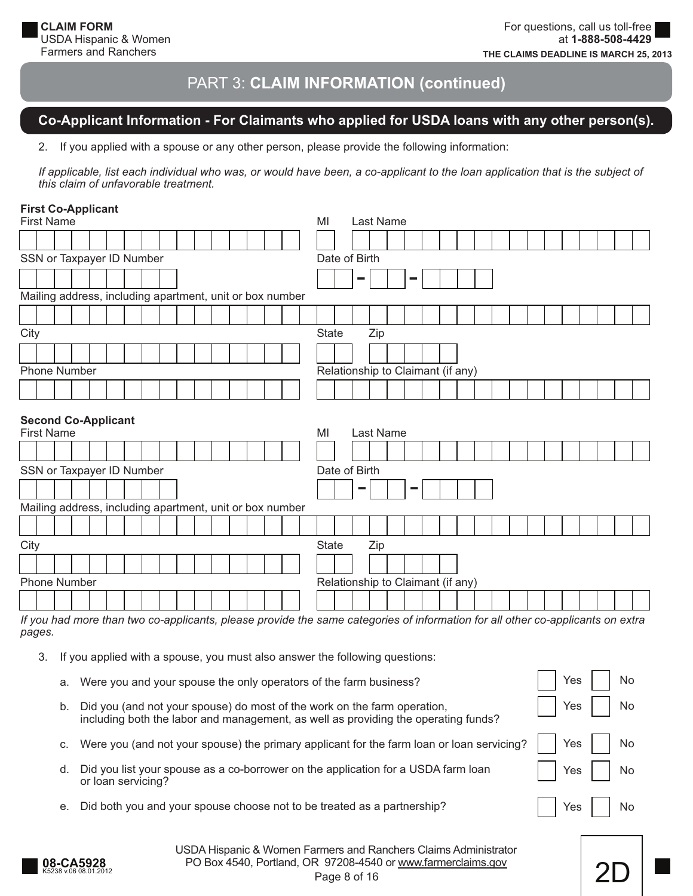# **Co-Applicant Information - For Claimants who applied for USDA loans with any other person(s).**

2. If you applied with a spouse or any other person, please provide the following information:

*If applicable, list each individual who was, or would have been, a co-applicant to the loan application that is the subject of this claim of unfavorable treatment.*

#### **First Co-Applicant**

| <b>First Name</b>                                                                                                                        |                                                 |  |  |  |  |  |  |  |    |              |  |           |  | MI                                |            |     | Last Name                         |                |  |  |  |  |  |  |  |
|------------------------------------------------------------------------------------------------------------------------------------------|-------------------------------------------------|--|--|--|--|--|--|--|----|--------------|--|-----------|--|-----------------------------------|------------|-----|-----------------------------------|----------------|--|--|--|--|--|--|--|
|                                                                                                                                          |                                                 |  |  |  |  |  |  |  |    |              |  |           |  |                                   |            |     |                                   |                |  |  |  |  |  |  |  |
| SSN or Taxpayer ID Number                                                                                                                |                                                 |  |  |  |  |  |  |  |    |              |  |           |  | Date of Birth                     |            |     |                                   |                |  |  |  |  |  |  |  |
|                                                                                                                                          |                                                 |  |  |  |  |  |  |  |    |              |  |           |  |                                   |            |     |                                   | <b>College</b> |  |  |  |  |  |  |  |
| Mailing address, including apartment, unit or box number                                                                                 |                                                 |  |  |  |  |  |  |  |    |              |  |           |  |                                   |            |     |                                   |                |  |  |  |  |  |  |  |
|                                                                                                                                          |                                                 |  |  |  |  |  |  |  |    |              |  |           |  |                                   |            |     |                                   |                |  |  |  |  |  |  |  |
| City                                                                                                                                     |                                                 |  |  |  |  |  |  |  |    | <b>State</b> |  | Zip       |  |                                   |            |     |                                   |                |  |  |  |  |  |  |  |
|                                                                                                                                          |                                                 |  |  |  |  |  |  |  |    |              |  |           |  |                                   |            |     |                                   |                |  |  |  |  |  |  |  |
|                                                                                                                                          | <b>Phone Number</b>                             |  |  |  |  |  |  |  |    |              |  |           |  | Relationship to Claimant (if any) |            |     |                                   |                |  |  |  |  |  |  |  |
|                                                                                                                                          |                                                 |  |  |  |  |  |  |  |    |              |  |           |  |                                   |            |     |                                   |                |  |  |  |  |  |  |  |
|                                                                                                                                          | <b>Second Co-Applicant</b><br><b>First Name</b> |  |  |  |  |  |  |  | MI |              |  | Last Name |  |                                   |            |     |                                   |                |  |  |  |  |  |  |  |
| SSN or Taxpayer ID Number                                                                                                                |                                                 |  |  |  |  |  |  |  |    |              |  |           |  | Date of Birth                     |            |     |                                   |                |  |  |  |  |  |  |  |
|                                                                                                                                          |                                                 |  |  |  |  |  |  |  |    |              |  |           |  |                                   | <b>COL</b> |     |                                   | <b>Tara</b>    |  |  |  |  |  |  |  |
| Mailing address, including apartment, unit or box number                                                                                 |                                                 |  |  |  |  |  |  |  |    |              |  |           |  |                                   |            |     |                                   |                |  |  |  |  |  |  |  |
|                                                                                                                                          |                                                 |  |  |  |  |  |  |  |    |              |  |           |  |                                   |            |     |                                   |                |  |  |  |  |  |  |  |
| City                                                                                                                                     |                                                 |  |  |  |  |  |  |  |    |              |  |           |  | <b>State</b>                      |            | Zip |                                   |                |  |  |  |  |  |  |  |
|                                                                                                                                          |                                                 |  |  |  |  |  |  |  |    |              |  |           |  |                                   |            |     |                                   |                |  |  |  |  |  |  |  |
| <b>Phone Number</b>                                                                                                                      |                                                 |  |  |  |  |  |  |  |    |              |  |           |  |                                   |            |     | Relationship to Claimant (if any) |                |  |  |  |  |  |  |  |
|                                                                                                                                          |                                                 |  |  |  |  |  |  |  |    |              |  |           |  |                                   |            |     |                                   |                |  |  |  |  |  |  |  |
| If you had more than two co-applicants, please provide the same categories of information for all other co-applicants on extra<br>pages. |                                                 |  |  |  |  |  |  |  |    |              |  |           |  |                                   |            |     |                                   |                |  |  |  |  |  |  |  |

3. If you applied with a spouse, you must also answer the following questions:

|    | a. Were you and your spouse the only operators of the farm business?                                                                                           | Yes $ $ | No |
|----|----------------------------------------------------------------------------------------------------------------------------------------------------------------|---------|----|
| b. | Did you (and not your spouse) do most of the work on the farm operation,<br>including both the labor and management, as well as providing the operating funds? | Yes     | No |
|    | c. Were you (and not your spouse) the primary applicant for the farm loan or loan servicing?                                                                   | Yes     | No |
| d. | Did you list your spouse as a co-borrower on the application for a USDA farm loan<br>or loan servicing?                                                        | Yes     | No |
| е. | Did both you and your spouse choose not to be treated as a partnership?                                                                                        | Yes     | No |
|    |                                                                                                                                                                |         |    |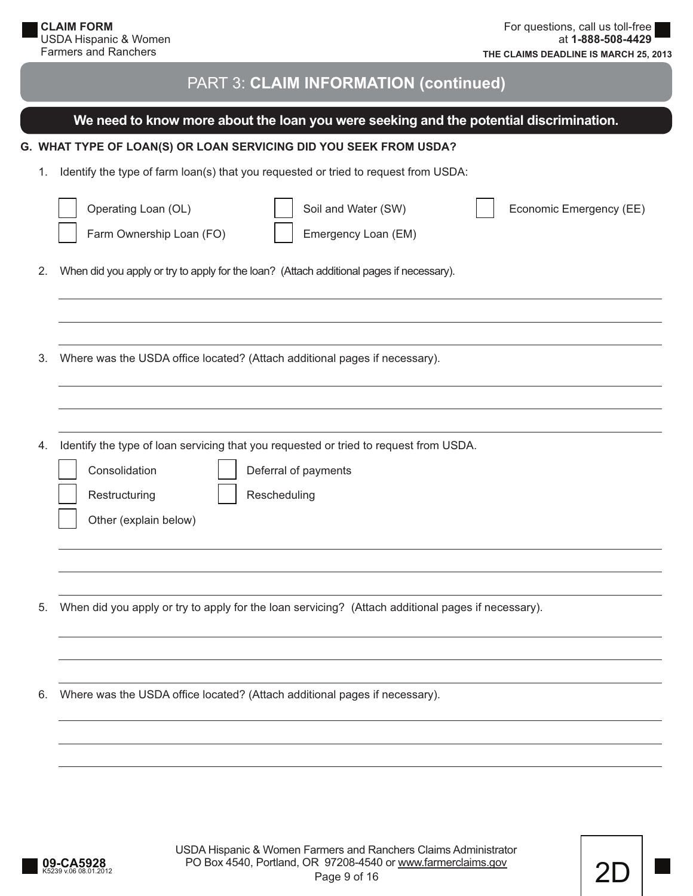|    | We need to know more about the loan you were seeking and the potential discrimination.                                   |
|----|--------------------------------------------------------------------------------------------------------------------------|
|    | G. WHAT TYPE OF LOAN(S) OR LOAN SERVICING DID YOU SEEK FROM USDA?                                                        |
| 1. | Identify the type of farm loan(s) that you requested or tried to request from USDA:                                      |
|    | Operating Loan (OL)<br>Soil and Water (SW)<br>Economic Emergency (EE)<br>Farm Ownership Loan (FO)<br>Emergency Loan (EM) |
| 2. | When did you apply or try to apply for the loan? (Attach additional pages if necessary).                                 |
|    |                                                                                                                          |
|    |                                                                                                                          |
| 3. | Where was the USDA office located? (Attach additional pages if necessary).                                               |
|    |                                                                                                                          |
|    |                                                                                                                          |
| 4. | Identify the type of loan servicing that you requested or tried to request from USDA.                                    |
|    | Consolidation<br>Deferral of payments                                                                                    |
|    | Rescheduling<br>Restructuring                                                                                            |
|    | Other (explain below)                                                                                                    |
|    |                                                                                                                          |
|    |                                                                                                                          |
| 5. | When did you apply or try to apply for the loan servicing? (Attach additional pages if necessary).                       |
|    |                                                                                                                          |
|    |                                                                                                                          |
| 6. | Where was the USDA office located? (Attach additional pages if necessary).                                               |
|    |                                                                                                                          |
|    |                                                                                                                          |
|    |                                                                                                                          |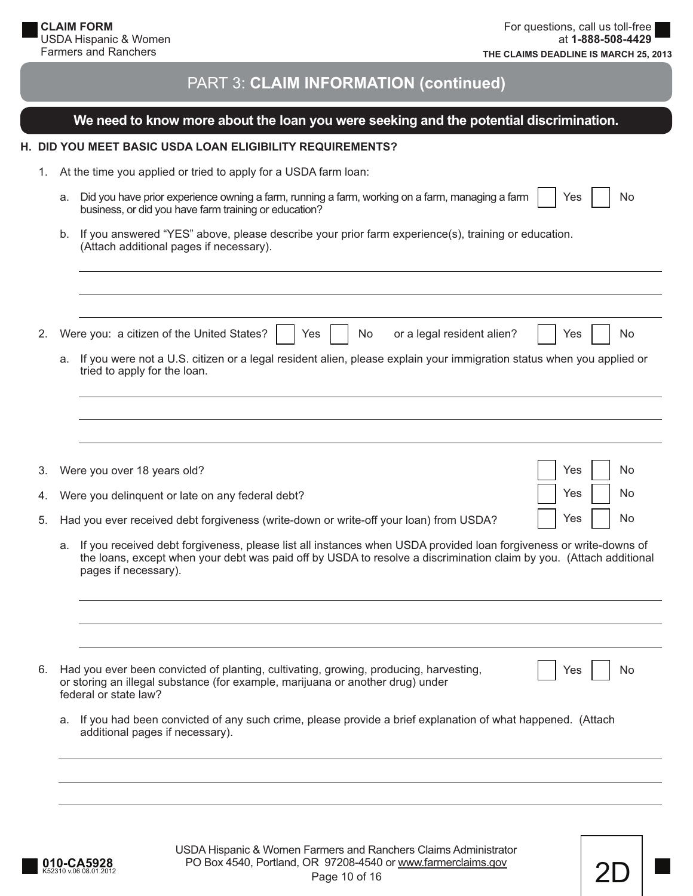#### **We need to know more about the loan you were seeking and the potential discrimination.**

#### **H. DID YOU MEET BASIC USDA LOAN ELIGIBILITY REQUIREMENTS?**

- 1. At the time you applied or tried to apply for a USDA farm loan:
	- a. Did you have prior experience owning a farm, running a farm, working on a farm, managing a farm business, or did you have farm training or education? Yes I I No
	- b. If you answered "YES" above, please describe your prior farm experience(s), training or education. (Attach additional pages if necessary).

| 2. | Were you: a citizen of the United States?<br>or a legal resident alien?<br>No.<br>Yes<br>No.<br>Yes                                                                                                                                           |
|----|-----------------------------------------------------------------------------------------------------------------------------------------------------------------------------------------------------------------------------------------------|
|    | If you were not a U.S. citizen or a legal resident alien, please explain your immigration status when you applied or<br>а.<br>tried to apply for the loan.                                                                                    |
|    |                                                                                                                                                                                                                                               |
|    |                                                                                                                                                                                                                                               |
| 3. | Yes<br>No<br>Were you over 18 years old?                                                                                                                                                                                                      |
| 4. | Yes<br>No<br>Were you delinguent or late on any federal debt?                                                                                                                                                                                 |
| 5. | Yes<br>No.<br>Had you ever received debt forgiveness (write-down or write-off your loan) from USDA?                                                                                                                                           |
|    | If you received debt forgiveness, please list all instances when USDA provided loan forgiveness or write-downs of<br>а.<br>the loans, except when your debt was paid off by USDA to resolve a discrimination claim by you. (Attach additional |

| 6. Had you ever been convicted of planting, cultivating, growing, producing, harvesting,<br>or storing an illegal substance (for example, marijuana or another drug) under | $\Box$ Yes |
|----------------------------------------------------------------------------------------------------------------------------------------------------------------------------|------------|
|                                                                                                                                                                            |            |
| federal or state law?                                                                                                                                                      |            |

 a. If you had been convicted of any such crime, please provide a brief explanation of what happened. (Attach additional pages if necessary).

pages if necessary).



N<sub>o</sub>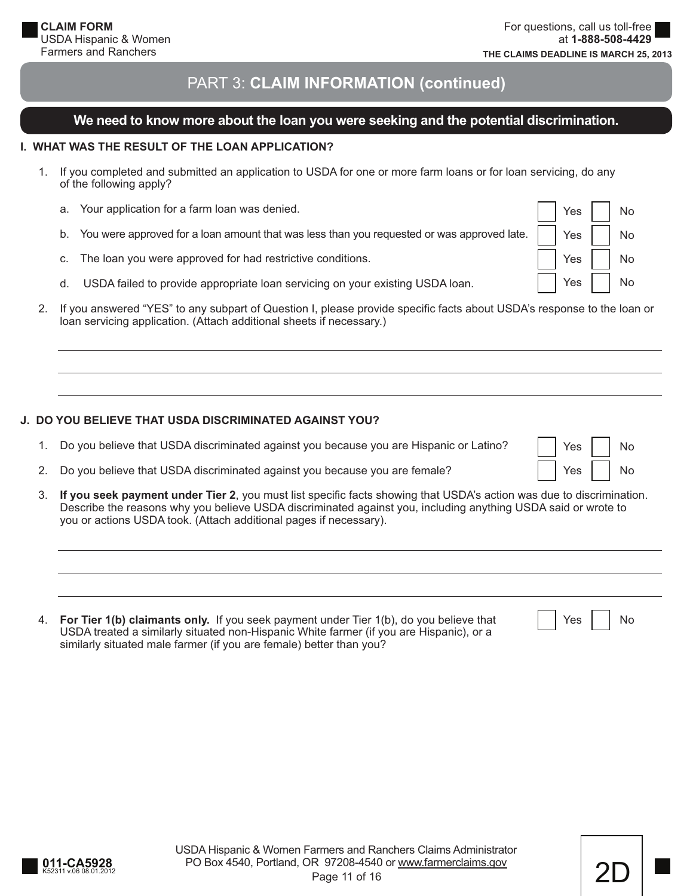Yes | | No

Yes I I No

Yes | | No

# PART 3: **CLAIM INFORMATION (continued)**

## **We need to know more about the loan you were seeking and the potential discrimination.**

#### **I. WHAT WAS THE RESULT OF THE LOAN APPLICATION?**

- 1. If you completed and submitted an application to USDA for one or more farm loans or for loan servicing, do any of the following apply?
	- a. Your application for a farm loan was denied. b. You were approved for a loan amount that was less than you requested or was approved late. c. The loan you were approved for had restrictive conditions. d. USDA failed to provide appropriate loan servicing on your existing USDA loan. Yes | | No Yes I I No Yes I I No Yes I I No
- 2. If you answered "YES" to any subpart of Question I, please provide specific facts about USDA's response to the loan or loan servicing application. (Attach additional sheets if necessary.)

#### **J. DO YOU BELIEVE THAT USDA DISCRIMINATED AGAINST YOU?**

- 1. Do you believe that USDA discriminated against you because you are Hispanic or Latino?
- 2. Do you believe that USDA discriminated against you because you are female?
- 3. **If you seek payment under Tier 2**, you must list specifi c facts showing that USDA's action was due to discrimination. Describe the reasons why you believe USDA discriminated against you, including anything USDA said or wrote to you or actions USDA took. (Attach additional pages if necessary).
- 4. **For Tier 1(b) claimants only.** If you seek payment under Tier 1(b), do you believe that USDA treated a similarly situated non-Hispanic White farmer (if you are Hispanic), or a similarly situated male farmer (if you are female) better than you?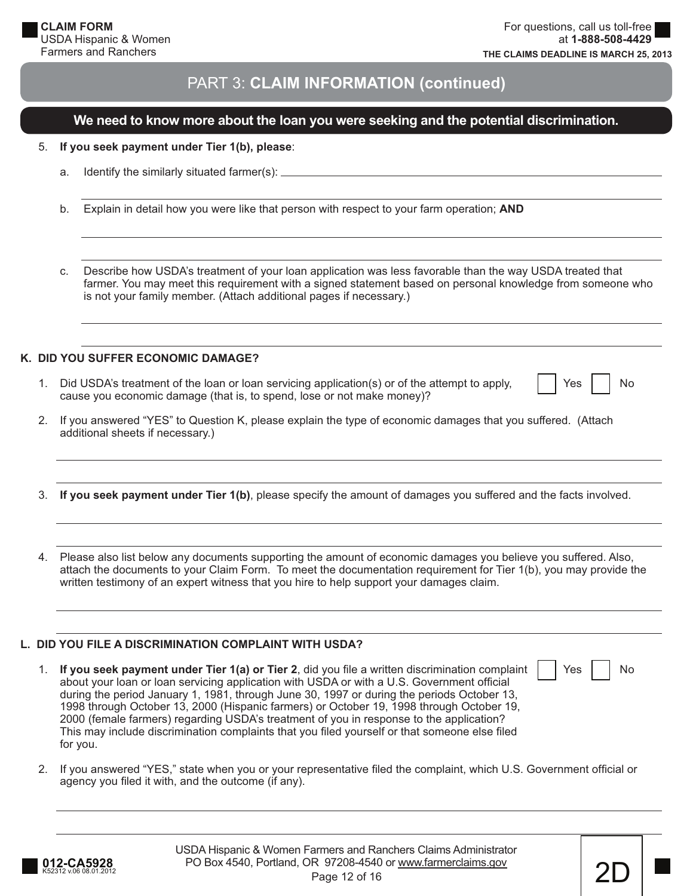## **We need to know more about the loan you were seeking and the potential discrimination.**

|  |  |  | 5. If you seek payment under Tier 1(b), please: |
|--|--|--|-------------------------------------------------|
|--|--|--|-------------------------------------------------|

- a. Identify the similarly situated farmer(s):
- b. Explain in detail how you were like that person with respect to your farm operation; **AND**

 c. Describe how USDA's treatment of your loan application was less favorable than the way USDA treated that farmer. You may meet this requirement with a signed statement based on personal knowledge from someone who is not your family member. (Attach additional pages if necessary.)

#### **K. DID YOU SUFFER ECONOMIC DAMAGE?**

- 1. Did USDA's treatment of the loan or loan servicing application(s) or of the attempt to apply, cause you economic damage (that is, to spend, lose or not make money)?
- Yes | | No

Yes | | No

 2. If you answered "YES" to Question K, please explain the type of economic damages that you suffered. (Attach additional sheets if necessary.)

3. **If you seek payment under Tier 1(b)**, please specify the amount of damages you suffered and the facts involved.

 4. Please also list below any documents supporting the amount of economic damages you believe you suffered. Also, attach the documents to your Claim Form. To meet the documentation requirement for Tier 1(b), you may provide the written testimony of an expert witness that you hire to help support your damages claim.

#### **L. DID YOU FILE A DISCRIMINATION COMPLAINT WITH USDA?**

- 1. **If you seek payment under Tier 1(a) or Tier 2**, did you file a written discrimination complaint about your loan or loan servicing application with USDA or with a U.S. Government official during the period January 1, 1981, through June 30, 1997 or during the periods October 13, 1998 through October 13, 2000 (Hispanic farmers) or October 19, 1998 through October 19, 2000 (female farmers) regarding USDA's treatment of you in response to the application? This may include discrimination complaints that you filed yourself or that someone else filed for you.
- 2. If you answered "YES," state when you or your representative filed the complaint, which U.S. Government official or agency you filed it with, and the outcome (if any).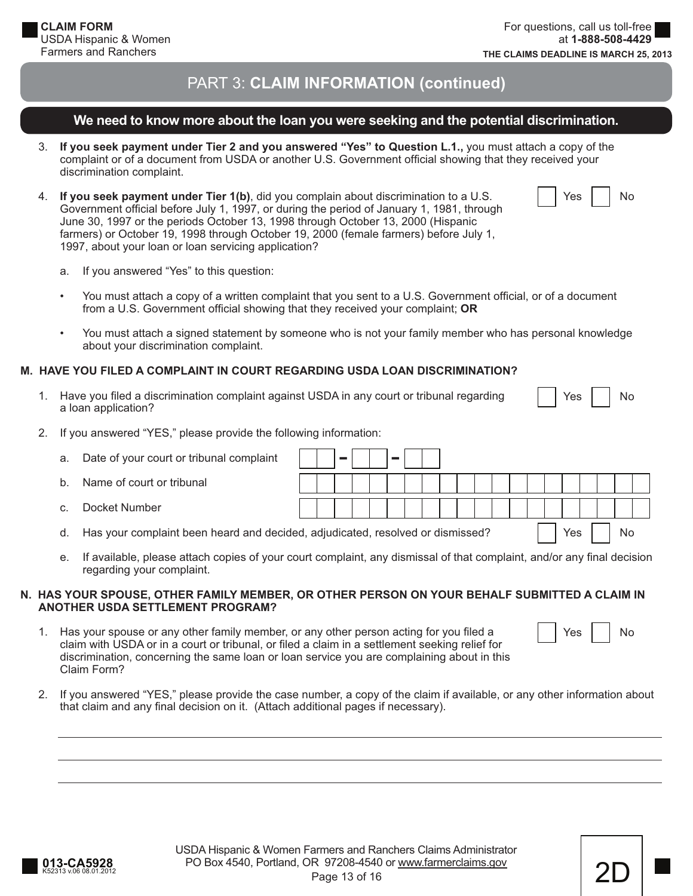## **We need to know more about the loan you were seeking and the potential discrimination.**

- 3. **If you seek payment under Tier 2 and you answered "Yes" to Question L.1.,** you must attach a copy of the complaint or of a document from USDA or another U.S. Government official showing that they received your discrimination complaint.
- 4. **If you seek payment under Tier 1(b)**, did you complain about discrimination to a U.S. Government official before July 1, 1997, or during the period of January 1, 1981, through June 30, 1997 or the periods October 13, 1998 through October 13, 2000 (Hispanic farmers) or October 19, 1998 through October 19, 2000 (female farmers) before July 1, 1997, about your loan or loan servicing application?

- a. If you answered "Yes" to this question:
- You must attach a copy of a written complaint that you sent to a U.S. Government official, or of a document from a U.S. Government official showing that they received your complaint; OR
- You must attach a signed statement by someone who is not your family member who has personal knowledge about your discrimination complaint.

#### **M. HAVE YOU FILED A COMPLAINT IN COURT REGARDING USDA LOAN DISCRIMINATION?**

1. Have you filed a discrimination complaint against USDA in any court or tribunal regarding a loan application?

|  | ⊷ |  | N۸ |
|--|---|--|----|
|--|---|--|----|

2. If you answered "YES," please provide the following information:

| a.           | Date of your court or tribunal complaint                                                                   |  |  |  |  |  |  |  |     |  |    |  |
|--------------|------------------------------------------------------------------------------------------------------------|--|--|--|--|--|--|--|-----|--|----|--|
| b.           | Name of court or tribunal                                                                                  |  |  |  |  |  |  |  |     |  |    |  |
| $\mathsf{C}$ | Docket Number                                                                                              |  |  |  |  |  |  |  |     |  |    |  |
| d.           | Has your complaint been heard and decided, adjudicated, resolved or dismissed?                             |  |  |  |  |  |  |  | Yes |  | No |  |
|              | a ultimization also accepted and a contract which complete the complete that annual and any final decision |  |  |  |  |  |  |  |     |  |    |  |

e. If available, please attach copies of your court complaint, any dismissal of that complaint, and/or any final decision regarding your complaint.

#### **N. HAS YOUR SPOUSE, OTHER FAMILY MEMBER, OR OTHER PERSON ON YOUR BEHALF SUBMITTED A CLAIM IN ANOTHER USDA SETTLEMENT PROGRAM?**

- 1. Has your spouse or any other family member, or any other person acting for you filed a claim with USDA or in a court or tribunal, or filed a claim in a settlement seeking relief for discrimination, concerning the same loan or loan service you are complaining about in this Claim Form?
- Yes I I No
- 2. If you answered "YES," please provide the case number, a copy of the claim if available, or any other information about that claim and any final decision on it. (Attach additional pages if necessary).

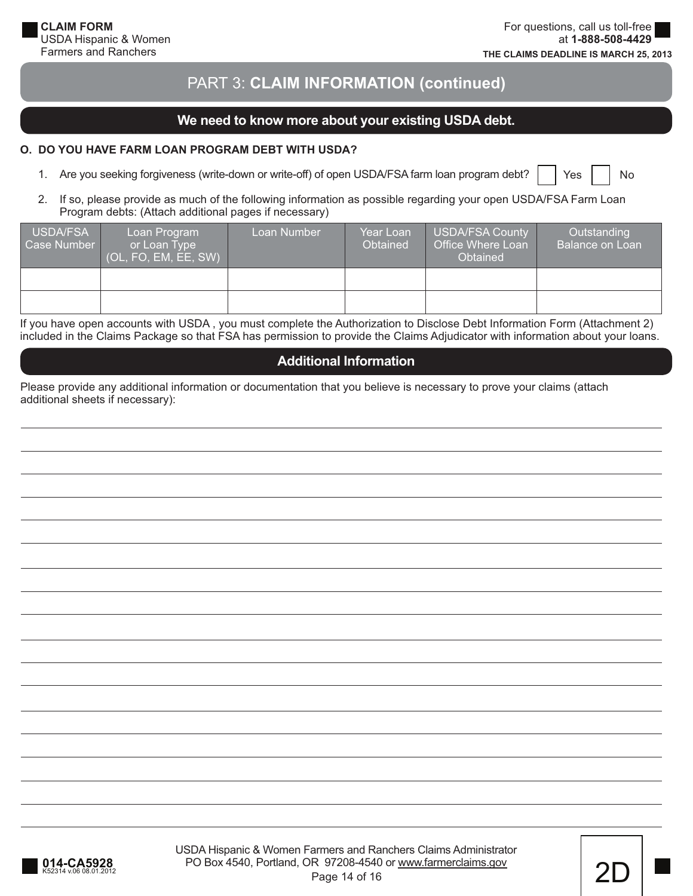## **We need to know more about your existing USDA debt.**

#### **O. DO YOU HAVE FARM LOAN PROGRAM DEBT WITH USDA?**

1. Are you seeking forgiveness (write-down or write-off) of open USDA/FSA farm loan program debt?

Yes | | No

 2. If so, please provide as much of the following information as possible regarding your open USDA/FSA Farm Loan Program debts: (Attach additional pages if necessary)

| USDA/FSA<br>Case Number | Loan Program<br>or Loan Type<br>(OL, FO, EM, EE, SW) | Loan Number | Year Loan<br>Obtained | USDA/FSA County<br>Office Where Loan<br><b>Obtained</b> | Outstanding<br><b>Balance on Loan</b> |
|-------------------------|------------------------------------------------------|-------------|-----------------------|---------------------------------------------------------|---------------------------------------|
|                         |                                                      |             |                       |                                                         |                                       |
|                         |                                                      |             |                       |                                                         |                                       |

If you have open accounts with USDA , you must complete the Authorization to Disclose Debt Information Form (Attachment 2) included in the Claims Package so that FSA has permission to provide the Claims Adjudicator with information about your loans.

## **Additional Information**

Please provide any additional information or documentation that you believe is necessary to prove your claims (attach additional sheets if necessary):

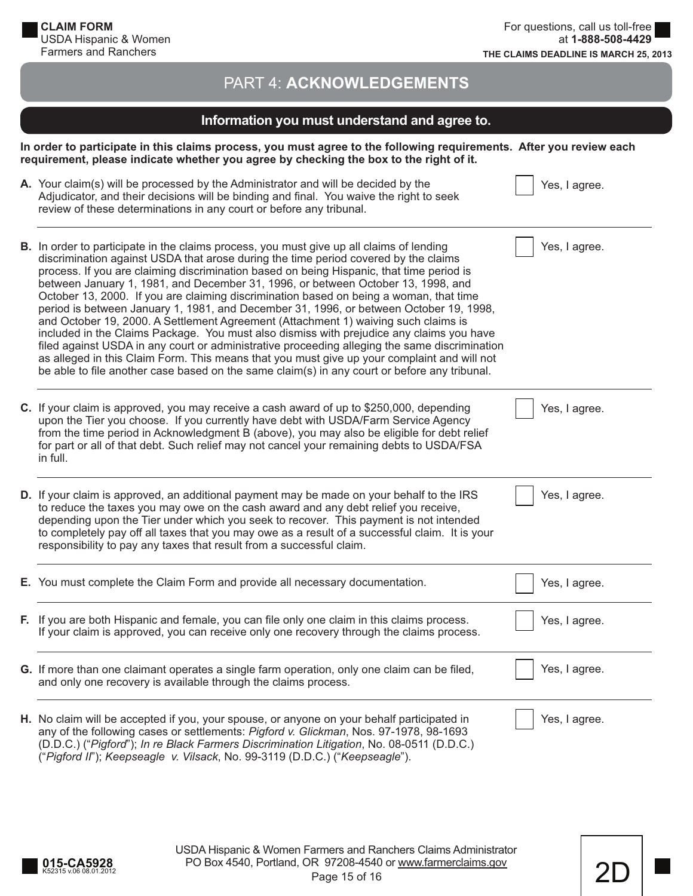# PART 4: **ACKNOWLEDGEMENTS**

# **Information you must understand and agree to.**

**In order to participate in this claims process, you must agree to the following requirements. After you review each requirement, please indicate whether you agree by checking the box to the right of it.**

| A. Your claim(s) will be processed by the Administrator and will be decided by the<br>Adjudicator, and their decisions will be binding and final. You waive the right to seek<br>review of these determinations in any court or before any tribunal.                                                                                                                                                                                                                                                                                                                                                                                                                                                                                                                                                                                                                                                                                                                                                                                  | Yes, I agree. |
|---------------------------------------------------------------------------------------------------------------------------------------------------------------------------------------------------------------------------------------------------------------------------------------------------------------------------------------------------------------------------------------------------------------------------------------------------------------------------------------------------------------------------------------------------------------------------------------------------------------------------------------------------------------------------------------------------------------------------------------------------------------------------------------------------------------------------------------------------------------------------------------------------------------------------------------------------------------------------------------------------------------------------------------|---------------|
| B. In order to participate in the claims process, you must give up all claims of lending<br>discrimination against USDA that arose during the time period covered by the claims<br>process. If you are claiming discrimination based on being Hispanic, that time period is<br>between January 1, 1981, and December 31, 1996, or between October 13, 1998, and<br>October 13, 2000. If you are claiming discrimination based on being a woman, that time<br>period is between January 1, 1981, and December 31, 1996, or between October 19, 1998,<br>and October 19, 2000. A Settlement Agreement (Attachment 1) waiving such claims is<br>included in the Claims Package. You must also dismiss with prejudice any claims you have<br>filed against USDA in any court or administrative proceeding alleging the same discrimination<br>as alleged in this Claim Form. This means that you must give up your complaint and will not<br>be able to file another case based on the same claim(s) in any court or before any tribunal. | Yes, I agree. |
| C. If your claim is approved, you may receive a cash award of up to \$250,000, depending<br>upon the Tier you choose. If you currently have debt with USDA/Farm Service Agency<br>from the time period in Acknowledgment B (above), you may also be eligible for debt relief<br>for part or all of that debt. Such relief may not cancel your remaining debts to USDA/FSA<br>in full.                                                                                                                                                                                                                                                                                                                                                                                                                                                                                                                                                                                                                                                 | Yes, I agree. |
| D. If your claim is approved, an additional payment may be made on your behalf to the IRS<br>to reduce the taxes you may owe on the cash award and any debt relief you receive,<br>depending upon the Tier under which you seek to recover. This payment is not intended<br>to completely pay off all taxes that you may owe as a result of a successful claim. It is your<br>responsibility to pay any taxes that result from a successful claim.                                                                                                                                                                                                                                                                                                                                                                                                                                                                                                                                                                                    | Yes, I agree. |
| E. You must complete the Claim Form and provide all necessary documentation.                                                                                                                                                                                                                                                                                                                                                                                                                                                                                                                                                                                                                                                                                                                                                                                                                                                                                                                                                          | Yes, I agree. |
| F. If you are both Hispanic and female, you can file only one claim in this claims process.<br>If your claim is approved, you can receive only one recovery through the claims process.                                                                                                                                                                                                                                                                                                                                                                                                                                                                                                                                                                                                                                                                                                                                                                                                                                               | Yes, I agree. |
| G. If more than one claimant operates a single farm operation, only one claim can be filed,<br>and only one recovery is available through the claims process.                                                                                                                                                                                                                                                                                                                                                                                                                                                                                                                                                                                                                                                                                                                                                                                                                                                                         | Yes, I agree. |
| H. No claim will be accepted if you, your spouse, or anyone on your behalf participated in<br>any of the following cases or settlements: Pigford v. Glickman, Nos. 97-1978, 98-1693<br>(D.D.C.) ("Pigford"); In re Black Farmers Discrimination Litigation, No. 08-0511 (D.D.C.)<br>("Pigford II"); Keepseagle v. Vilsack, No. 99-3119 (D.D.C.) ("Keepseagle").                                                                                                                                                                                                                                                                                                                                                                                                                                                                                                                                                                                                                                                                       | Yes, I agree. |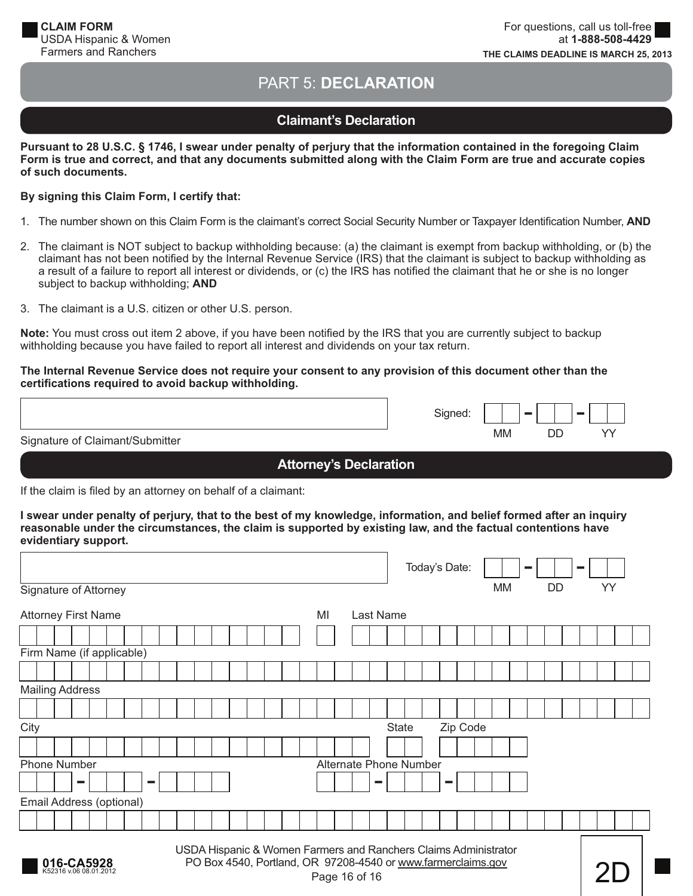# PART 5: **DECLARATION**

# **Claimant's Declaration**

**Pursuant to 28 U.S.C. § 1746, I swear under penalty of perjury that the information contained in the foregoing Claim**  Form is true and correct, and that any documents submitted along with the Claim Form are true and accurate copies **of such documents.**

#### **By signing this Claim Form, I certify that:**

- 1. The number shown on this Claim Form is the claimant's correct Social Security Number or Taxpayer Identification Number, AND
- 2. The claimant is NOT subject to backup withholding because: (a) the claimant is exempt from backup withholding, or (b) the claimant has not been notified by the Internal Revenue Service (IRS) that the claimant is subject to backup withholding as a result of a failure to report all interest or dividends, or (c) the IRS has notified the claimant that he or she is no longer subject to backup withholding; **AND**
- 3. The claimant is a U.S. citizen or other U.S. person.

**Note:** You must cross out item 2 above, if you have been notified by the IRS that you are currently subject to backup withholding because you have failed to report all interest and dividends on your tax return.

#### **The Internal Revenue Service does not require your consent to any provision of this document other than the certifi cations required to avoid backup withholding.**

|                                 | Signed: |           | <b>College</b> | <b>Contract Contract</b> |
|---------------------------------|---------|-----------|----------------|--------------------------|
| Signature of Claimant/Submitter |         | <b>MM</b> | DC             |                          |

## **Attorney's Declaration**

If the claim is filed by an attorney on behalf of a claimant:

**I swear under penalty of perjury, that to the best of my knowledge, information, and belief formed after an inquiry reasonable under the circumstances, the claim is supported by existing law, and the factual contentions have evidentiary support.**

|                                                                                                                                                                                          | Today's Date:<br><b>COLLEGE</b> |  |
|------------------------------------------------------------------------------------------------------------------------------------------------------------------------------------------|---------------------------------|--|
| Signature of Attorney                                                                                                                                                                    | YY<br>MM<br>DD                  |  |
| <b>Attorney First Name</b><br>MI<br>Last Name                                                                                                                                            |                                 |  |
|                                                                                                                                                                                          |                                 |  |
| Firm Name (if applicable)                                                                                                                                                                |                                 |  |
|                                                                                                                                                                                          |                                 |  |
| <b>Mailing Address</b>                                                                                                                                                                   |                                 |  |
|                                                                                                                                                                                          |                                 |  |
| City                                                                                                                                                                                     | Zip Code<br><b>State</b>        |  |
|                                                                                                                                                                                          |                                 |  |
| <b>Phone Number</b><br><b>Alternate Phone Number</b>                                                                                                                                     |                                 |  |
| m.<br><b>College</b>                                                                                                                                                                     | <b>COL</b>                      |  |
| Email Address (optional)                                                                                                                                                                 |                                 |  |
|                                                                                                                                                                                          |                                 |  |
| USDA Hispanic & Women Farmers and Ranchers Claims Administrator<br>PO Box 4540, Portland, OR 97208-4540 or www.farmerclaims.gov<br>016-CA5928<br>K52316 v.06 08.01.2012<br>Page 16 of 16 |                                 |  |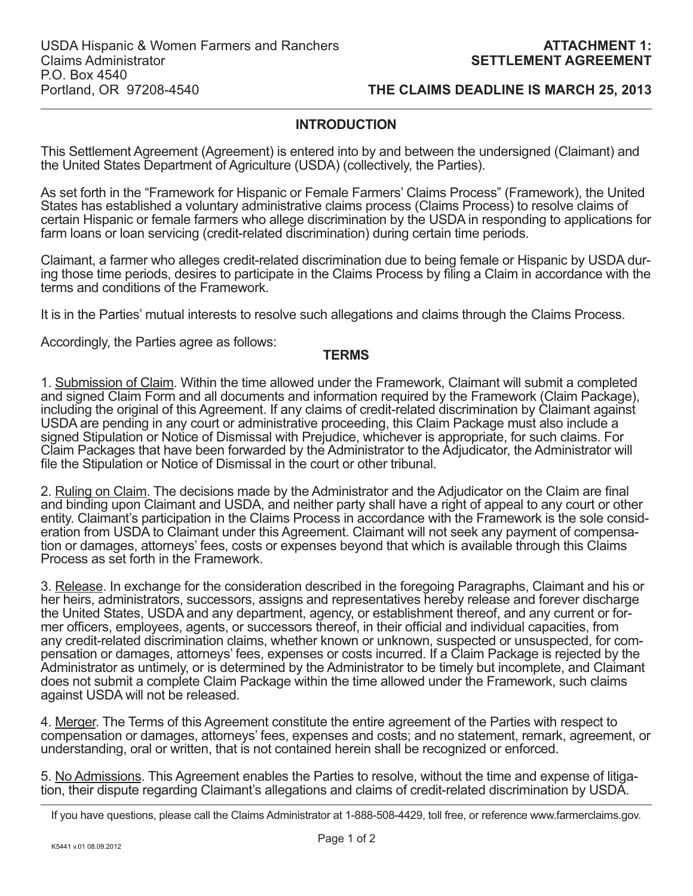## **INTRODUCTION**

This Settlement Agreement (Agreement) is entered into by and between the undersigned (Claimant) and the United States Department of Agriculture (USDA) (collectively, the Parties).

As set forth in the "Framework for Hispanic or Female Farmers' Claims Process" (Framework), the United States has established a voluntary administrative claims process (Claims Process) to resolve claims of certain Hispanic or female farmers who allege discrimination by the USDA in responding to applications for farm loans or loan servicing (credit-related discrimination) during certain time periods.

Claimant, a farmer who alleges credit-related discrimination due to being female or Hispanic by USDA during those time periods, desires to participate in the Claims Process by filing a Claim in accordance with the terms and conditions of the Framework.

It is in the Parties' mutual interests to resolve such allegations and claims through the Claims Process.

Accordingly, the Parties agree as follows:

## **TERMS**

1. Submission of Claim. Within the time allowed under the Framework, Claimant will submit a completed and signed Claim Form and all documents and information required by the Framework (Claim Package), including the original of this Agreement. If any claims of credit-related discrimination by Claimant against USDA are pending in any court or administrative proceeding, this Claim Package must also include a signed Stipulation or Notice of Dismissal with Prejudice, whichever is appropriate, for such claims. For Claim Packages that have been forwarded by the Administrator to the Adjudicator, the Administrator will file the Stipulation or Notice of Dismissal in the court or other tribunal.

2. Ruling on Claim. The decisions made by the Administrator and the Adjudicator on the Claim are final and binding upon Claimant and USDA, and neither party shall have a right of appeal to any court or other entity. Claimant's participation in the Claims Process in accordance with the Framework is the sole consideration from USDA to Claimant under this Agreement. Claimant will not seek any payment of compensation or damages, attorneys' fees, costs or expenses beyond that which is available through this Claims Process as set forth in the Framework.

3. Release. In exchange for the consideration described in the foregoing Paragraphs, Claimant and his or her heirs, administrators, successors, assigns and representatives hereby release and forever discharge the United States, USDA and any department, agency, or establishment thereof, and any current or former officers, employees, agents, or successors thereof, in their official and individual capacities, from any credit-related discrimination claims, whether known or unknown, suspected or unsuspected, for compensation or damages, attorneys' fees, expenses or costs incurred. If a Claim Package is rejected by the Administrator as untimely, or is determined by the Administrator to be timely but incomplete, and Claimant does not submit a complete Claim Package within the time allowed under the Framework, such claims against USDA will not be released.

4. Merger. The Terms of this Agreement constitute the entire agreement of the Parties with respect to compensation or damages, attorneys' fees, expenses and costs; and no statement, remark, agreement, or understanding, oral or written, that is not contained herein shall be recognized or enforced.

5. No Admissions. This Agreement enables the Parties to resolve, without the time and expense of litigation, their dispute regarding Claimant's allegations and claims of credit-related discrimination by USDA.

If you have questions, please call the Claims Administrator at 1-888-508-4429, toll free, or reference www.farmerclaims.gov.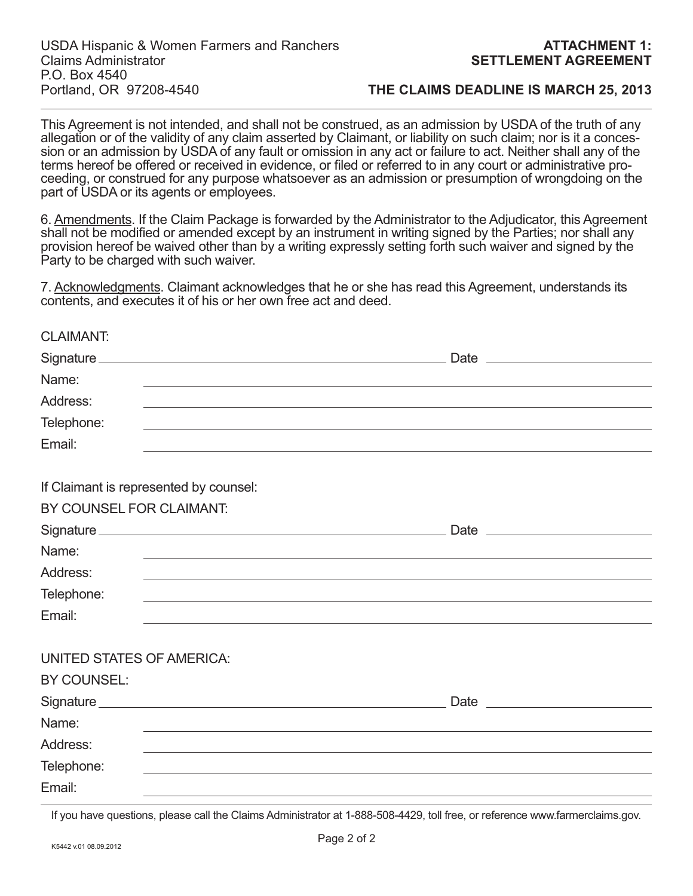This Agreement is not intended, and shall not be construed, as an admission by USDA of the truth of any allegation or of the validity of any claim asserted by Claimant, or liability on such claim; nor is it a concession or an admission by USDA of any fault or omission in any act or failure to act. Neither shall any of the terms hereof be offered or received in evidence, or filed or referred to in any court or administrative proceeding, or construed for any purpose whatsoever as an admission or presumption of wrongdoing on the part of USDA or its agents or employees.

6. Amendments. If the Claim Package is forwarded by the Administrator to the Adjudicator, this Agreement shall not be modified or amended except by an instrument in writing signed by the Parties; nor shall any provision hereof be waived other than by a writing expressly setting forth such waiver and signed by the Party to be charged with such waiver.

7. Acknowledgments. Claimant acknowledges that he or she has read this Agreement, understands its contents, and executes it of his or her own free act and deed.

| ULAIMAN I.                                      |                                        |
|-------------------------------------------------|----------------------------------------|
|                                                 |                                        |
| Name:                                           |                                        |
| Address:                                        |                                        |
| Telephone:                                      |                                        |
| Email:                                          |                                        |
| BY COUNSEL FOR CLAIMANT:                        | If Claimant is represented by counsel: |
|                                                 |                                        |
| Name:                                           |                                        |
| Address:                                        |                                        |
| Telephone:                                      |                                        |
| Email:                                          |                                        |
| <b>UNITED STATES OF AMERICA:</b><br>BY COUNSEL: |                                        |
|                                                 |                                        |
| Name:                                           |                                        |
| Address:                                        |                                        |
| Telephone:                                      |                                        |
| Email:                                          |                                        |

If you have questions, please call the Claims Administrator at 1-888-508-4429, toll free, or reference www.farmerclaims.gov.

CLAIMANT: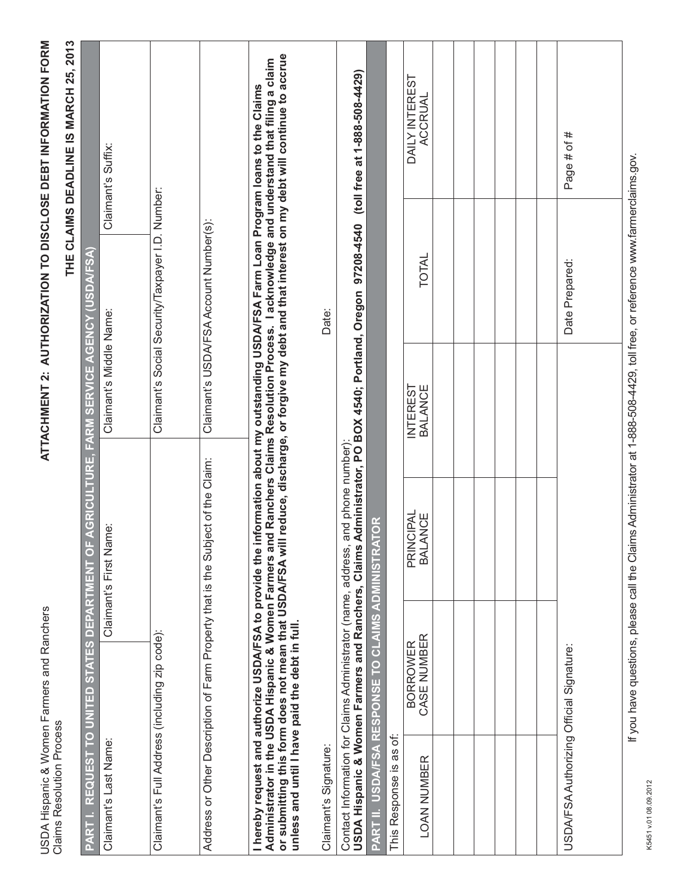USDA Hispanic & Women Farmers and Ranchers<br>Claims Resolution Process USDA Hispanic & Women Farmers and Ranchers Claims Resolution Process

# THE CLAIMS DEADLINE IS MARCH 25, 2013 **THE CLAIMS DEADLINE IS MARCH 25, 2013**

|                                                                                                          |                         |                                                                                                                                                                                                                                                                                                    |                                               | $\frac{1}{2}$                                    | トランコ イン・イン・ト<br>ווא בווער וואונו                                                |
|----------------------------------------------------------------------------------------------------------|-------------------------|----------------------------------------------------------------------------------------------------------------------------------------------------------------------------------------------------------------------------------------------------------------------------------------------------|-----------------------------------------------|--------------------------------------------------|---------------------------------------------------------------------------------|
| PART I. REQUEST TO UNITED STATES DEPARTMENT O                                                            |                         |                                                                                                                                                                                                                                                                                                    | F AGRICULTURE, FARM SERVICE AGENCY (USDA/FSA) |                                                  |                                                                                 |
| Claimant's Last Name:                                                                                    |                         | Claimant's First Name:                                                                                                                                                                                                                                                                             | Claimant's Middle Name:                       |                                                  | Claimant's Suffix:                                                              |
| Claimant's Full Address (including zip code):                                                            |                         |                                                                                                                                                                                                                                                                                                    |                                               | Claimant's Social Security/Taxpayer I.D. Number: |                                                                                 |
|                                                                                                          |                         | Address or Other Description of Farm Property that is the Subject of the Claim:                                                                                                                                                                                                                    |                                               | Claimant's USDA/FSA Account Number(s):           |                                                                                 |
| I hereby request and authorize USDA/FSA to provide the<br>unless and until I have paid the debt in full. |                         | or submitting this form does not mean that USDA/FSA will reduce, discharge, or forgive my debt and that interest on my debt will continue to accrue<br>Administrator in the USDA Hispanic & Women Farmers and Ranchers Claims Resolution Process. I acknowledge and understand that filing a claim |                                               |                                                  | information about my outstanding USDA/FSA Farm Loan Program loans to the Claims |
| Claimant's Signature:                                                                                    |                         |                                                                                                                                                                                                                                                                                                    |                                               | Date:                                            |                                                                                 |
|                                                                                                          |                         | USDA Hispanic & Women Farmers and Ranchers, Claims Administrator, PO BOX 4540; Portland, Oregon 97208-4540<br>Contact Information for Claims Administrator (name, address, and phone number):                                                                                                      |                                               |                                                  | (toll free at 1-888-508-4429)                                                   |
|                                                                                                          |                         | PART II. USDA/FSA RESPONSE TO CLAIMS ADMINISTRATOR                                                                                                                                                                                                                                                 |                                               |                                                  |                                                                                 |
| This Response is as of:                                                                                  |                         |                                                                                                                                                                                                                                                                                                    |                                               |                                                  |                                                                                 |
| <b>LOAN NUMBER</b>                                                                                       | BORROWER<br>CASE NUMBER | NCIPAL<br><b>BALANCE</b><br>PRII                                                                                                                                                                                                                                                                   | <b>INTEREST</b><br><b>BALANCE</b>             | TOTAL                                            | DAILY INTEREST<br><b>ACCRUAL</b>                                                |
|                                                                                                          |                         |                                                                                                                                                                                                                                                                                                    |                                               |                                                  |                                                                                 |
|                                                                                                          |                         |                                                                                                                                                                                                                                                                                                    |                                               |                                                  |                                                                                 |
|                                                                                                          |                         |                                                                                                                                                                                                                                                                                                    |                                               |                                                  |                                                                                 |
|                                                                                                          |                         |                                                                                                                                                                                                                                                                                                    |                                               |                                                  |                                                                                 |
|                                                                                                          |                         |                                                                                                                                                                                                                                                                                                    |                                               |                                                  |                                                                                 |
|                                                                                                          |                         |                                                                                                                                                                                                                                                                                                    |                                               |                                                  |                                                                                 |
| USDA/FSA Authorizing Official Signature:                                                                 |                         |                                                                                                                                                                                                                                                                                                    |                                               | Date Prepared:                                   | Page # of #                                                                     |
|                                                                                                          |                         | If you have questions, please call the Claims Administrator at 1-888-508-4429, toll free, or reference www.farmerclaims.gov.                                                                                                                                                                       |                                               |                                                  |                                                                                 |

K5451 v.01 08.09.2012

K5451 v.01 08.09.2012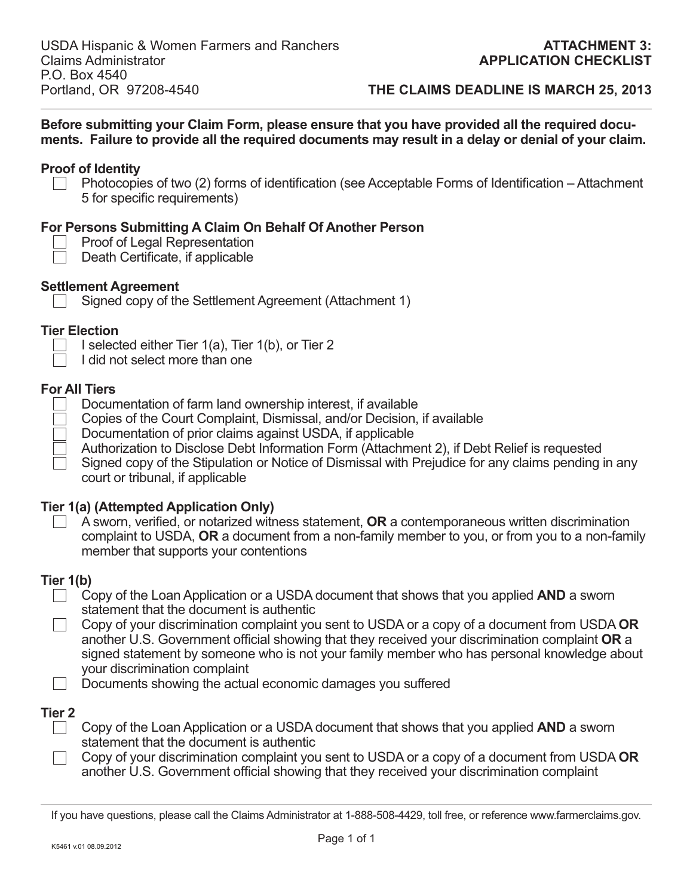**Before submitting your Claim Form, please ensure that you have provided all the required documents. Failure to provide all the required documents may result in a delay or denial of your claim.**

## **Proof of Identity**

Photocopies of two (2) forms of identification (see Acceptable Forms of Identification – Attachment 5 for specific requirements)

## **For Persons Submitting A Claim On Behalf Of Another Person**

|  | <b>Proof of Legal Representation</b> |
|--|--------------------------------------|
|--|--------------------------------------|

 $\Box$  Death Certificate, if applicable

## **Settlement Agreement**

Signed copy of the Settlement Agreement (Attachment 1)

## **Tier Election**

- I selected either Tier  $1(a)$ , Tier  $1(b)$ , or Tier 2
	- I did not select more than one

## **For All Tiers**

- Documentation of farm land ownership interest, if available
- Copies of the Court Complaint, Dismissal, and/or Decision, if available
- Documentation of prior claims against USDA, if applicable
- Authorization to Disclose Debt Information Form (Attachment 2), if Debt Relief is requested
- Signed copy of the Stipulation or Notice of Dismissal with Prejudice for any claims pending in any court or tribunal, if applicable

## **Tier 1(a) (Attempted Application Only)**

A sworn, verified, or notarized witness statement, **OR** a contemporaneous written discrimination complaint to USDA, **OR** a document from a non-family member to you, or from you to a non-family member that supports your contentions

## **Tier 1(b)**

- Copy of the Loan Application or a USDA document that shows that you applied **AND** a sworn statement that the document is authentic
- Copy of your discrimination complaint you sent to USDA or a copy of a document from USDA **OR** another U.S. Government official showing that they received your discrimination complaint OR a signed statement by someone who is not your family member who has personal knowledge about your discrimination complaint
- $\Box$  Documents showing the actual economic damages you suffered

## **Tier 2**

- ◯ Copy of the Loan Application or a USDA document that shows that you applied **AND** a sworn statement that the document is authentic
- Copy of your discrimination complaint you sent to USDA or a copy of a document from USDA **OR** another U.S. Government official showing that they received your discrimination complaint

If you have questions, please call the Claims Administrator at 1-888-508-4429, toll free, or reference www.farmerclaims.gov.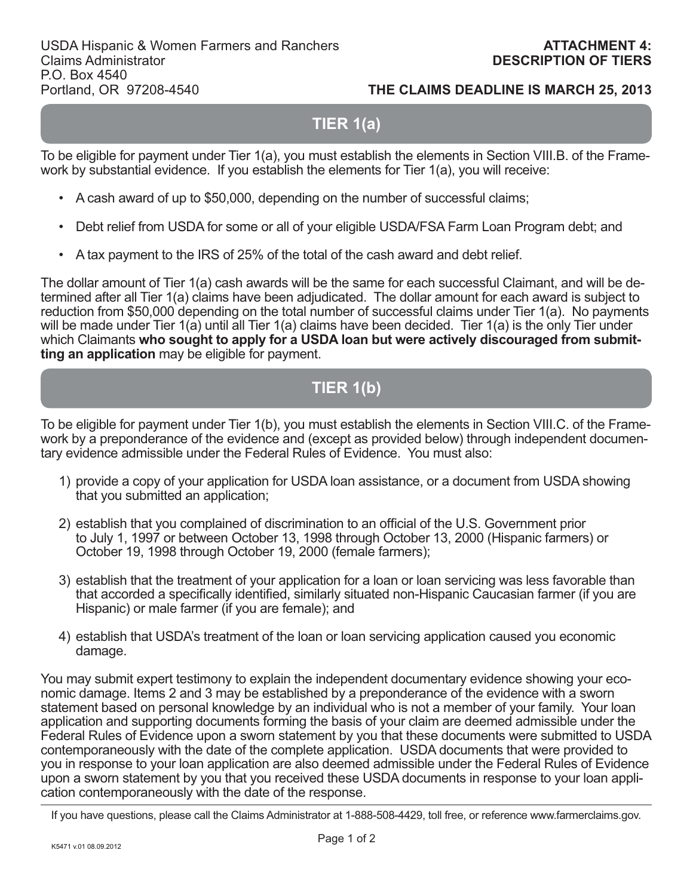# **TIER 1(a)**

To be eligible for payment under Tier 1(a), you must establish the elements in Section VIII.B. of the Framework by substantial evidence. If you establish the elements for Tier 1(a), you will receive:

- A cash award of up to \$50,000, depending on the number of successful claims;
- Debt relief from USDA for some or all of your eligible USDA/FSA Farm Loan Program debt; and
- A tax payment to the IRS of 25% of the total of the cash award and debt relief.

The dollar amount of Tier 1(a) cash awards will be the same for each successful Claimant, and will be determined after all Tier 1(a) claims have been adjudicated. The dollar amount for each award is subject to reduction from \$50,000 depending on the total number of successful claims under Tier 1(a). No payments will be made under Tier 1(a) until all Tier 1(a) claims have been decided. Tier 1(a) is the only Tier under which Claimants **who sought to apply for a USDA loan but were actively discouraged from submitting an application** may be eligible for payment.

# **TIER 1(b)**

To be eligible for payment under Tier 1(b), you must establish the elements in Section VIII.C. of the Framework by a preponderance of the evidence and (except as provided below) through independent documentary evidence admissible under the Federal Rules of Evidence. You must also:

- 1) provide a copy of your application for USDA loan assistance, or a document from USDA showing that you submitted an application;
- 2) establish that you complained of discrimination to an official of the U.S. Government prior to July 1, 1997 or between October 13, 1998 through October 13, 2000 (Hispanic farmers) or October 19, 1998 through October 19, 2000 (female farmers);
- 3) establish that the treatment of your application for a loan or loan servicing was less favorable than that accorded a specifically identified, similarly situated non-Hispanic Caucasian farmer (if you are Hispanic) or male farmer (if you are female); and
- 4) establish that USDA's treatment of the loan or loan servicing application caused you economic damage.

You may submit expert testimony to explain the independent documentary evidence showing your economic damage. Items 2 and 3 may be established by a preponderance of the evidence with a sworn statement based on personal knowledge by an individual who is not a member of your family. Your loan application and supporting documents forming the basis of your claim are deemed admissible under the Federal Rules of Evidence upon a sworn statement by you that these documents were submitted to USDA contemporaneously with the date of the complete application. USDA documents that were provided to you in response to your loan application are also deemed admissible under the Federal Rules of Evidence upon a sworn statement by you that you received these USDA documents in response to your loan application contemporaneously with the date of the response.

If you have questions, please call the Claims Administrator at 1-888-508-4429, toll free, or reference www.farmerclaims.gov.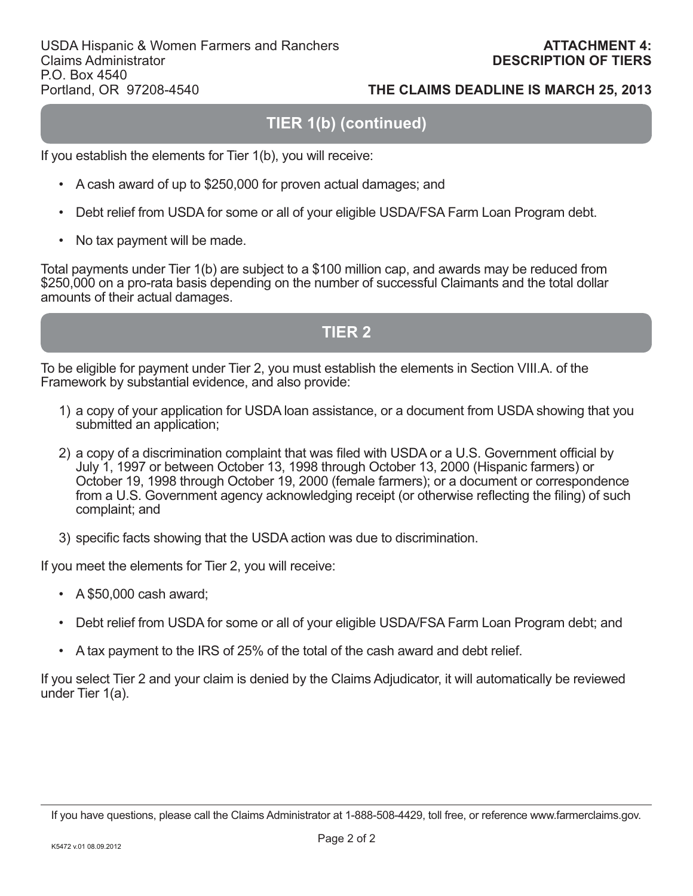# **TIER 1(b) (continued)**

If you establish the elements for Tier 1(b), you will receive:

- A cash award of up to \$250,000 for proven actual damages; and
- Debt relief from USDA for some or all of your eligible USDA/FSA Farm Loan Program debt.
- No tax payment will be made.

Total payments under Tier 1(b) are subject to a \$100 million cap, and awards may be reduced from \$250,000 on a pro-rata basis depending on the number of successful Claimants and the total dollar amounts of their actual damages.

# **TIER 2**

To be eligible for payment under Tier 2, you must establish the elements in Section VIII.A. of the Framework by substantial evidence, and also provide:

- 1) a copy of your application for USDA loan assistance, or a document from USDA showing that you submitted an application;
- 2) a copy of a discrimination complaint that was filed with USDA or a U.S. Government official by July 1, 1997 or between October 13, 1998 through October 13, 2000 (Hispanic farmers) or October 19, 1998 through October 19, 2000 (female farmers); or a document or correspondence from a U.S. Government agency acknowledging receipt (or otherwise reflecting the filing) of such complaint; and
- 3) specific facts showing that the USDA action was due to discrimination.

If you meet the elements for Tier 2, you will receive:

- A \$50,000 cash award;
- Debt relief from USDA for some or all of your eligible USDA/FSA Farm Loan Program debt; and
- A tax payment to the IRS of 25% of the total of the cash award and debt relief.

If you select Tier 2 and your claim is denied by the Claims Adjudicator, it will automatically be reviewed under Tier 1(a).

If you have questions, please call the Claims Administrator at 1-888-508-4429, toll free, or reference www.farmerclaims.gov.